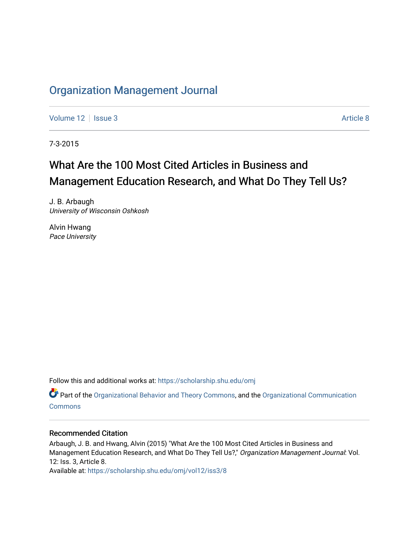# [Organization Management Journal](https://scholarship.shu.edu/omj)

[Volume 12](https://scholarship.shu.edu/omj/vol12) | [Issue 3](https://scholarship.shu.edu/omj/vol12/iss3) Article 8

7-3-2015

# What Are the 100 Most Cited Articles in Business and Management Education Research, and What Do They Tell Us?

J. B. Arbaugh University of Wisconsin Oshkosh

Alvin Hwang Pace University

Follow this and additional works at: [https://scholarship.shu.edu/omj](https://scholarship.shu.edu/omj?utm_source=scholarship.shu.edu%2Fomj%2Fvol12%2Fiss3%2F8&utm_medium=PDF&utm_campaign=PDFCoverPages) 

Part of the [Organizational Behavior and Theory Commons,](http://network.bepress.com/hgg/discipline/639?utm_source=scholarship.shu.edu%2Fomj%2Fvol12%2Fiss3%2F8&utm_medium=PDF&utm_campaign=PDFCoverPages) and the [Organizational Communication](http://network.bepress.com/hgg/discipline/335?utm_source=scholarship.shu.edu%2Fomj%2Fvol12%2Fiss3%2F8&utm_medium=PDF&utm_campaign=PDFCoverPages) **[Commons](http://network.bepress.com/hgg/discipline/335?utm_source=scholarship.shu.edu%2Fomj%2Fvol12%2Fiss3%2F8&utm_medium=PDF&utm_campaign=PDFCoverPages)** 

# Recommended Citation

Arbaugh, J. B. and Hwang, Alvin (2015) "What Are the 100 Most Cited Articles in Business and Management Education Research, and What Do They Tell Us?," Organization Management Journal: Vol. 12: Iss. 3, Article 8.

Available at: [https://scholarship.shu.edu/omj/vol12/iss3/8](https://scholarship.shu.edu/omj/vol12/iss3/8?utm_source=scholarship.shu.edu%2Fomj%2Fvol12%2Fiss3%2F8&utm_medium=PDF&utm_campaign=PDFCoverPages)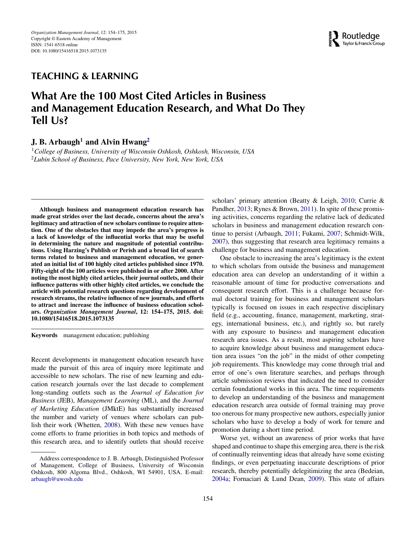# **TEACHING & LEARNING**

# **What Are the 100 Most Cited Articles in Business and Management Education Research, and What Do They Tell Us?**

# **J. B. Arbaugh[1](#page-1-0) and Alvin Hwang[2](#page-1-0)**

<span id="page-1-0"></span><sup>1</sup>*College of Business, University of Wisconsin Oshkosh, Oshkosh, Wisconsin, USA* <sup>2</sup>*Lubin School of Business, Pace University, New York, New York, USA*

**Although business and management education research has made great strides over the last decade, concerns about the area's legitimacy and attraction of new scholars continue to require attention. One of the obstacles that may impede the area's progress is a lack of knowledge of the influential works that may be useful in determining the nature and magnitude of potential contributions. Using Harzing's Publish or Perish and a broad list of search terms related to business and management education, we generated an initial list of 100 highly cited articles published since 1970. Fifty-eight of the 100 articles were published in or after 2000. After noting the most highly cited articles, their journal outlets, and their influence patterns with other highly cited articles, we conclude the article with potential research questions regarding development of research streams, the relative influence of new journals, and efforts to attract and increase the influence of business education scholars.** *Organization Management Journal***, 12: 154–175, 2015. doi: 10.1080/15416518.2015.1073135**

**Keywords** management education; publishing

Recent developments in management education research have made the pursuit of this area of inquiry more legitimate and accessible to new scholars. The rise of new learning and education research journals over the last decade to complement long-standing outlets such as the *Journal of Education for Business* (JEB), *Management Learning* (ML), and the *Journal of Marketing Education* (JMktE) has substantially increased the number and variety of venues where scholars can publish their work (Whetten, [2008\)](#page-21-0). With these new venues have come efforts to frame priorities in both topics and methods of this research area, and to identify outlets that should receive

scholars' primary attention (Beatty & Leigh, [2010;](#page-19-0) Currie & Pandher, [2013;](#page-19-1) Rynes & Brown, [2011\)](#page-20-0). In spite of these promising activities, concerns regarding the relative lack of dedicated scholars in business and management education research continue to persist (Arbaugh, [2011;](#page-19-2) Fukami, [2007;](#page-20-1) Schmidt-Wilk, [2007\)](#page-20-2), thus suggesting that research area legitimacy remains a challenge for business and management education.

One obstacle to increasing the area's legitimacy is the extent to which scholars from outside the business and management education area can develop an understanding of it within a reasonable amount of time for productive conversations and consequent research effort. This is a challenge because formal doctoral training for business and management scholars typically is focused on issues in each respective disciplinary field (e.g., accounting, finance, management, marketing, strategy, international business, etc.), and rightly so, but rarely with any exposure to business and management education research area issues. As a result, most aspiring scholars have to acquire knowledge about business and management education area issues "on the job" in the midst of other competing job requirements. This knowledge may come through trial and error of one's own literature searches, and perhaps through article submission reviews that indicated the need to consider certain foundational works in this area. The time requirements to develop an understanding of the business and management education research area outside of formal training may prove too onerous for many prospective new authors, especially junior scholars who have to develop a body of work for tenure and promotion during a short time period.

Worse yet, without an awareness of prior works that have shaped and continue to shape this emerging area, there is the risk of continually reinventing ideas that already have some existing findings, or even perpetuating inaccurate descriptions of prior research, thereby potentially delegitimizing the area (Bedeian, [2004a;](#page-19-3) Fornaciari & Lund Dean, [2009\)](#page-20-3). This state of affairs



Address correspondence to J. B. Arbaugh, Distinguished Professor of Management, College of Business, University of Wisconsin Oshkosh, 800 Algoma Blvd., Oshkosh, WI 54901, USA. E-mail: [arbaugh@uwosh.edu](mailto:arbaugh@uwosh.edu)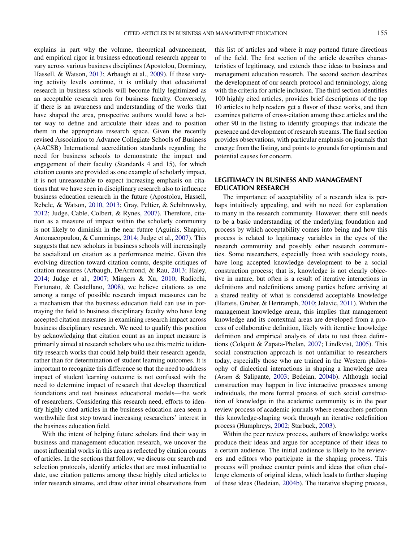explains in part why the volume, theoretical advancement, and empirical rigor in business educational research appear to vary across various business disciplines (Apostolou, Dorminey, Hassell, & Watson, [2013;](#page-19-4) Arbaugh et al., [2009\)](#page-19-5). If these varying activity levels continue, it is unlikely that educational research in business schools will become fully legitimized as an acceptable research area for business faculty. Conversely, if there is an awareness and understanding of the works that have shaped the area, prospective authors would have a better way to define and articulate their ideas and to position them in the appropriate research space. Given the recently revised Association to Advance Collegiate Schools of Business (AACSB) International accreditation standards regarding the need for business schools to demonstrate the impact and engagement of their faculty (Standards 4 and 15), for which citation counts are provided as one example of scholarly impact, it is not unreasonable to expect increasing emphasis on citations that we have seen in disciplinary research also to influence business education research in the future (Apostolou, Hassell, Rebele, & Watson, [2010,](#page-19-6) [2013;](#page-19-4) Gray, Peltier, & Schibrowsky, [2012;](#page-20-4) Judge, Cable, Colbert, & Rynes, [2007\)](#page-20-5). Therefore, citation as a measure of impact within the scholarly community is not likely to diminish in the near future (Aguinis, Shapiro, Antonacopoulou, & Cummings, [2014;](#page-19-7) Judge et al., [2007\)](#page-20-5). This suggests that new scholars in business schools will increasingly be socialized on citation as a performance metric. Given this evolving direction toward citation counts, despite critiques of citation measures (Arbaugh, DeArmond, & Rau, [2013;](#page-19-8) Haley, [2014;](#page-20-6) Judge et al., [2007;](#page-20-5) Mingers & Xu, [2010;](#page-20-7) Radicchi, Fortunato, & Castellano, [2008\)](#page-20-8), we believe citations as one among a range of possible research impact measures can be a mechanism that the business education field can use in portraying the field to business disciplinary faculty who have long accepted citation measures in examining research impact across business disciplinary research. We need to qualify this position by acknowledging that citation count as an impact measure is primarily aimed at research scholars who use this metric to identify research works that could help build their research agenda, rather than for determination of student learning outcomes. It is important to recognize this difference so that the need to address impact of student learning outcome is not confused with the need to determine impact of research that develop theoretical foundations and test business educational models—the work of researchers. Considering this research need, efforts to identify highly cited articles in the business education area seem a worthwhile first step toward increasing researchers' interest in the business education field.

With the intent of helping future scholars find their way in business and management education research, we uncover the most influential works in this area as reflected by citation counts of articles. In the sections that follow, we discuss our search and selection protocols, identify articles that are most influential to date, use citation patterns among these highly cited articles to infer research streams, and draw other initial observations from this list of articles and where it may portend future directions of the field. The first section of the article describes characteristics of legitimacy, and extends these ideas to business and management education research. The second section describes the development of our search protocol and terminology, along with the criteria for article inclusion. The third section identifies 100 highly cited articles, provides brief descriptions of the top 10 articles to help readers get a flavor of these works, and then examines patterns of cross-citation among these articles and the other 90 in the listing to identify groupings that indicate the presence and development of research streams. The final section provides observations, with particular emphasis on journals that emerge from the listing, and points to grounds for optimism and potential causes for concern.

# **LEGITIMACY IN BUSINESS AND MANAGEMENT EDUCATION RESEARCH**

The importance of acceptability of a research idea is perhaps intuitively appealing, and with no need for explanation to many in the research community. However, there still needs to be a basic understanding of the underlying foundation and process by which acceptability comes into being and how this process is related to legitimacy variables in the eyes of the research community and possibly other research communities. Some researchers, especially those with sociology roots, have long accepted knowledge development to be a social construction process; that is, knowledge is not clearly objective in nature, but often is a result of iterative interactions in definitions and redefinitions among parties before arriving at a shared reality of what is considered acceptable knowledge (Harteis, Gruber, & Hertramph, [2010;](#page-20-9) Jelavic, [2011\)](#page-20-10). Within the management knowledge arena, this implies that management knowledge and its contextual areas are developed from a process of collaborative definition, likely with iterative knowledge definition and empirical analysis of data to test those definitions (Colquitt & Zapata-Phelan, [2007;](#page-19-9) Lindkvist, [2005\)](#page-20-11). This social construction approach is not unfamiliar to researchers today, especially those who are trained in the Western philosophy of dialectical interactions in shaping a knowledge area (Aram & Salipante, [2003;](#page-19-10) Bedeian, [2004b\)](#page-19-11). Although social construction may happen in live interactive processes among individuals, the more formal process of such social construction of knowledge in the academic community is in the peer review process of academic journals where researchers perform this knowledge-shaping work through an iterative redefinition process (Humphreys, [2002;](#page-20-12) Starbuck, [2003\)](#page-21-1).

Within the peer review process, authors of knowledge works produce their ideas and argue for acceptance of their ideas to a certain audience. The initial audience is likely to be reviewers and editors who participate in the shaping process. This process will produce counter points and ideas that often challenge elements of original ideas, which leads to further shaping of these ideas (Bedeian, [2004b\)](#page-19-11). The iterative shaping process,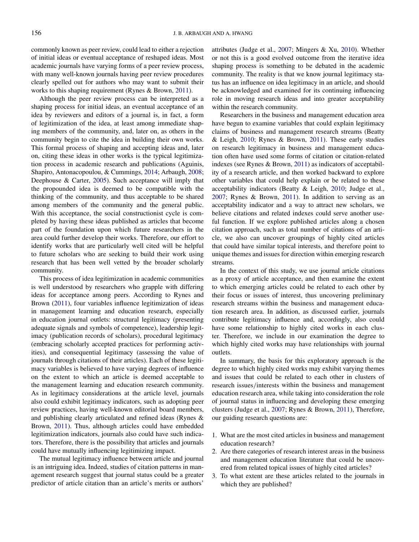commonly known as peer review, could lead to either a rejection of initial ideas or eventual acceptance of reshaped ideas. Most academic journals have varying forms of a peer review process, with many well-known journals having peer review procedures clearly spelled out for authors who may want to submit their works to this shaping requirement (Rynes & Brown, [2011\)](#page-20-0).

Although the peer review process can be interpreted as a shaping process for initial ideas, an eventual acceptance of an idea by reviewers and editors of a journal is, in fact, a form of legitimization of the idea, at least among immediate shaping members of the community, and, later on, as others in the community begin to cite the idea in building their own works. This formal process of shaping and accepting ideas and, later on, citing these ideas in other works is the typical legitimization process in academic research and publications (Aguinis, Shapiro, Antonacopoulou, & Cummings, [2014;](#page-19-7) Arbaugh, [2008;](#page-19-12) Deephouse & Carter, [2005\)](#page-19-13). Such acceptance will imply that the propounded idea is deemed to be compatible with the thinking of the community, and thus acceptable to be shared among members of the community and the general public. With this acceptance, the social constructionist cycle is completed by having these ideas published as articles that become part of the foundation upon which future researchers in the area could further develop their works. Therefore, our effort to identify works that are particularly well cited will be helpful to future scholars who are seeking to build their work using research that has been well vetted by the broader scholarly community.

This process of idea legitimization in academic communities is well understood by researchers who grapple with differing ideas for acceptance among peers. According to Rynes and Brown [\(2011\)](#page-20-0), four variables influence legitimization of ideas in management learning and education research, especially in education journal outlets: structural legitimacy (presenting adequate signals and symbols of competence), leadership legitimacy (publication records of scholars), procedural legitimacy (embracing scholarly accepted practices for performing activities), and consequential legitimacy (assessing the value of journals through citations of their articles). Each of these legitimacy variables is believed to have varying degrees of influence on the extent to which an article is deemed acceptable to the management learning and education research community. As in legitimacy considerations at the article level, journals also could exhibit legitimacy indicators, such as adopting peer review practices, having well-known editorial board members, and publishing clearly articulated and refined ideas (Rynes & Brown, [2011\)](#page-20-0). Thus, although articles could have embedded legitimization indicators, journals also could have such indicators. Therefore, there is the possibility that articles and journals could have mutually influencing legitimizing impact.

The mutual legitimacy influence between article and journal is an intriguing idea. Indeed, studies of citation patterns in management research suggest that journal status could be a greater predictor of article citation than an article's merits or authors' attributes (Judge et al., [2007;](#page-20-5) Mingers & Xu, [2010\)](#page-20-7). Whether or not this is a good evolved outcome from the iterative idea shaping process is something to be debated in the academic community. The reality is that we know journal legitimacy status has an influence on idea legitimacy in an article, and should be acknowledged and examined for its continuing influencing role in moving research ideas and into greater acceptability within the research community.

Researchers in the business and management education area have begun to examine variables that could explain legitimacy claims of business and management research streams (Beatty & Leigh, [2010;](#page-19-0) Rynes & Brown, [2011\)](#page-20-0). These early studies on research legitimacy in business and management education often have used some forms of citation or citation-related indexes (see Rynes & Brown, [2011\)](#page-20-0) as indicators of acceptability of a research article, and then worked backward to explore other variables that could help explain or be related to these acceptability indicators (Beatty & Leigh, [2010;](#page-19-0) Judge et al., [2007;](#page-20-5) Rynes & Brown, [2011\)](#page-20-0). In addition to serving as an acceptability indicator and a way to attract new scholars, we believe citations and related indexes could serve another useful function. If we explore published articles along a chosen citation approach, such as total number of citations of an article, we also can uncover groupings of highly cited articles that could have similar topical interests, and therefore point to unique themes and issues for direction within emerging research streams.

In the context of this study, we use journal article citations as a proxy of article acceptance, and then examine the extent to which emerging articles could be related to each other by their focus or issues of interest, thus uncovering preliminary research streams within the business and management education research area. In addition, as discussed earlier, journals contribute legitimacy influence and, accordingly, also could have some relationship to highly cited works in each cluster. Therefore, we include in our examination the degree to which highly cited works may have relationships with journal outlets.

In summary, the basis for this exploratory approach is the degree to which highly cited works may exhibit varying themes and issues that could be related to each other in clusters of research issues*/*interests within the business and management education research area, while taking into consideration the role of journal status in influencing and developing these emerging clusters (Judge et al., [2007;](#page-20-5) Rynes & Brown, [2011\)](#page-20-0), Therefore, our guiding research questions are:

- 1. What are the most cited articles in business and management education research?
- 2. Are there categories of research interest areas in the business and management education literature that could be uncovered from related topical issues of highly cited articles?
- 3. To what extent are these articles related to the journals in which they are published?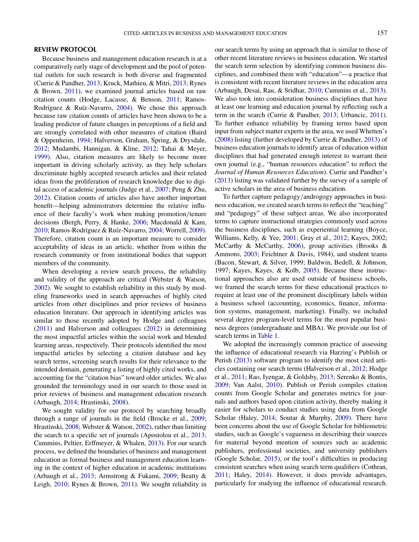### **REVIEW PROTOCOL**

Because business and management education research is at a comparatively early stage of development and the pool of potential outlets for such research is both diverse and fragmented (Currie & Pandher, [2013;](#page-19-1) Kruck, Mathieu, & Mitri, [2013;](#page-20-13) Rynes & Brown, [2011\)](#page-20-0), we examined journal articles based on raw citation counts (Hodge, Lacasse, & Benson, [2011;](#page-20-14) Ramos-Rodríguez & Ruíz-Navarro, [2004\)](#page-20-15). We chose this approach because raw citation counts of articles have been shown to be a leading predictor of future changes in perceptions of a field and are strongly correlated with other measures of citation (Baird & Oppenheim, [1994;](#page-19-14) Halverson, Graham, Spring, & Drysdale, [2012;](#page-20-16) Mudambi, Hannigan, & Kline, [2012;](#page-20-17) Tahai & Meyer, [1999\)](#page-21-2). Also, citation measures are likely to become more important in driving scholarly activity, as they help scholars discriminate highly accepted research articles and their related ideas from the proliferation of research knowledge due to digital access of academic journals (Judge et al., [2007;](#page-20-5) Peng & Zhu, [2012\)](#page-20-18). Citation counts of articles also have another important benefit—helping administrators determine the relative influence of their faculty's work when making promotion*/*tenure decisions (Bergh, Perry, & Hanke, [2006;](#page-19-15) Macdonald & Kam, [2010;](#page-20-19) Ramos-Rodríguez & Ruíz-Navarro, [2004;](#page-20-15) Worrell, [2009\)](#page-21-3). Therefore, citation count is an important measure to consider acceptability of ideas in an article, whether from within the research community or from institutional bodies that support members of the community.

When developing a review search process, the reliability and validity of the approach are critical (Webster & Watson, [2002\)](#page-21-4). We sought to establish reliability in this study by modeling frameworks used in search approaches of highly cited articles from other disciplines and prior reviews of business education literature. Our approach in identifying articles was similar to those recently adopted by Hodge and colleagues [\(2011\)](#page-20-14) and Halverson and colleagues [\(2012\)](#page-20-16) in determining the most impactful articles within the social work and blended learning areas, respectively. Their protocols identified the most impactful articles by selecting a citation database and key search terms, screening search results for their relevance to the intended domain, generating a listing of highly cited works, and accounting for the "citation bias" toward older articles. We also grounded the terminology used in our search to those used in prior reviews of business and management education research (Arbaugh, [2014;](#page-19-16) Hrastinski, [2008\)](#page-20-20).

We sought validity for our protocol by searching broadly through a range of journals in the field (Brocke et al., [2009;](#page-19-17) Hrastinski, [2008;](#page-20-20) Webster & Watson, [2002\)](#page-21-4), rather than limiting the search to a specific set of journals (Apostolou et al., [2013;](#page-19-4) Cummins, Peltier, Erffmeyer, & Whalen, [2013\)](#page-19-18). For our search process, we defined the boundaries of business and management education as formal business and management education learning in the context of higher education in academic institutions (Arbaugh et al., [2013;](#page-19-8) Armstrong & Fukami, [2009;](#page-19-19) Beatty & Leigh, [2010;](#page-19-0) Rynes & Brown, [2011\)](#page-20-0). We sought reliability in

our search terms by using an approach that is similar to those of other recent literature reviews in business education. We started the search term selection by identifying common business disciplines, and combined them with "education"—a practice that is consistent with recent literature reviews in the education area (Arbaugh, Desai, Rau, & Sridhar, [2010;](#page-19-20) Cummins et al., [2013\)](#page-19-18). We also took into consideration business disciplines that have at least one learning and education journal by reflecting such a term in the search (Currie & Pandher, [2013;](#page-19-1) Urbancic, [2011\)](#page-21-5). To further enhance reliability by framing terms based upon input from subject matter experts in the area, we used Whetten's [\(2008\)](#page-21-0) listing (further developed by Currie & Pandher, [2013\)](#page-19-1) of business education journals to identify areas of education within disciplines that had generated enough interest to warrant their own journal (e.g., "human resources education" to reflect the *Journal of Human Resources Education*). Currie and Pandher's [\(2013\)](#page-19-1) listing was validated further by the survey of a sample of active scholars in the area of business education.

To further capture pedagogy*/*androgogy approaches in business education, we created search terms to reflect the "teaching" and "pedagogy" of these subject areas. We also incorporated terms to capture instructional strategies commonly used across the business disciplines, such as experiential learning (Boyce, Williams, Kelly, & Yee, [2001;](#page-19-21) Gray et al., [2012;](#page-20-4) Kayes, 2002; McCarthy & McCarthy, [2006\)](#page-20-21), group activities (Brooks & Ammons, [2003;](#page-19-22) Feichtner & Davis, 1984), and student teams (Bacon, Stewart, & Silver, 1999; Baldwin, Bedell, & Johnson, 1997; Kayes, Kayes, & Kolb, [2005\)](#page-20-22). Because these instructional approaches also are used outside of business schools, we framed the search terms for these educational practices to require at least one of the prominent disciplinary labels within a business school (accounting, economics, finance, information systems, management, marketing). Finally, we included several degree program-level terms for the most popular business degrees (undergraduate and MBA). We provide our list of search terms in [Table 1.](#page-5-0)

We adopted the increasingly common practice of assessing the influence of educational research via Harzing's Publish or Perish [\(2013\)](#page-19-4) software program to identify the most cited articles containing our search terms (Halverson et al., [2012;](#page-20-16) Hodge et al., [2011;](#page-20-14) Rao, Iyengar, & Goldsby, [2013;](#page-20-23) Serenko & Bontis, [2009;](#page-21-6) Van Aalst, [2010\)](#page-21-7). Publish or Perish compiles citation counts from Google Scholar and generates metrics for journals and authors based upon citation activity, thereby making it easier for scholars to conduct studies using data from Google Scholar (Haley, [2014;](#page-20-6) Soutar & Murphy, [2009\)](#page-21-8). There have been concerns about the use of Google Scholar for bibliometric studies, such as Google's vagueness in describing their sources for material beyond mention of sources such as academic publishers, professional societies, and university publishers (Google Scholar, [2015\)](#page-20-24), or the tool's difficulties in producing consistent searches when using search term qualifiers (Cothran, [2011;](#page-19-23) Haley, [2014\)](#page-20-6). However, it does provide advantages, particularly for studying the influence of educational research.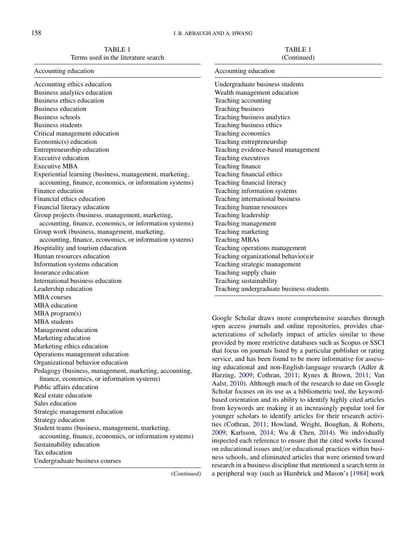<span id="page-5-0"></span>TABLE 1

| <b>TABLE 1</b> |  |
|----------------|--|
| (Continued)    |  |

on educational issues and*/*or educational practices within business schools, and eliminated articles that were oriented toward research in a business discipline that mentioned a search term in a peripheral way (such as Hambrick and Mason's [\[1984\]](#page-20-27) work

| Terms used in the literature search                     | (Continued)                                                         |
|---------------------------------------------------------|---------------------------------------------------------------------|
| Accounting education                                    | Accounting education                                                |
| Accounting ethics education                             | Undergraduate business students                                     |
| Business analytics education                            | Wealth management education                                         |
| Business ethics education                               | Teaching accounting                                                 |
| <b>Business education</b>                               | Teaching business                                                   |
| Business schools                                        | Teaching business analytics                                         |
| <b>Business students</b>                                | Teaching business ethics                                            |
| Critical management education                           | Teaching economics                                                  |
| Economic(s) education                                   | Teaching entrepreneurship                                           |
| Entrepreneurship education                              | Teaching evidence-based management                                  |
| Executive education                                     | Teaching executives                                                 |
| <b>Executive MBA</b>                                    | Teaching finance                                                    |
| Experiential learning (business, management, marketing, | Teaching financial ethics                                           |
| accounting, finance, economics, or information systems) | Teaching financial literacy                                         |
| Finance education                                       | Teaching information systems                                        |
| Financial ethics education                              | Teaching international business                                     |
| Financial literacy education                            | Teaching human resources                                            |
| Group projects (business, management, marketing,        | Teaching leadership                                                 |
| accounting, finance, economics, or information systems) | Teaching management                                                 |
| Group work (business, management, marketing,            | Teaching marketing                                                  |
| accounting, finance, economics, or information systems) | <b>Teaching MBAs</b>                                                |
| Hospitality and tourism education                       | Teaching operations management                                      |
| Human resources education                               | Teaching organizational behavio(u)r                                 |
| Information systems education                           | Teaching strategic management                                       |
| Insurance education                                     | Teaching supply chain                                               |
| International business education                        | Teaching sustainability                                             |
| Leadership education                                    | Teaching undergraduate business students                            |
| <b>MBA</b> courses                                      |                                                                     |
| MBA education                                           |                                                                     |
| MBA program(s)                                          |                                                                     |
| <b>MBA</b> students                                     | Google Scholar draws more comprehensive searches through            |
| Management education                                    | open access journals and online repositories, provides char-        |
| Marketing education                                     | acterizations of scholarly impact of articles similar to those      |
| Marketing ethics education                              | provided by more restrictive databases such as Scopus or SSCI       |
| Operations management education                         | that focus on journals listed by a particular publisher or rating   |
| Organizational behavior education                       | service, and has been found to be more informative for assess-      |
| Pedagogy (business, management, marketing, accounting,  | ing educational and non-English-language research (Adler &          |
| finance, economics, or information systems)             | Harzing, 2009; Cothran, 2011; Rynes & Brown, 2011; Van              |
| Public affairs education                                | Aalst, 2010). Although much of the research to date on Google       |
| Real estate education                                   | Scholar focuses on its use as a bibliometric tool, the keyword-     |
| Sales education                                         | based orientation and its ability to identify highly cited articles |
| Strategic management education                          | from keywords are making it an increasingly popular tool for        |
| Strategy education                                      | younger scholars to identify articles for their research activi-    |
| Student teams (business, management, marketing,         | ties (Cothran, 2011; Howland, Wright, Boughan, & Roberts,           |
| accounting, finance, economics, or information systems) | 2009; Karlsson, 2014; Wu & Chen, 2014). We individually             |
| Customobility advestion                                 | inspected each reference to ensure that the cited works focused     |

Sustainability education

Tax education

Undergraduate business courses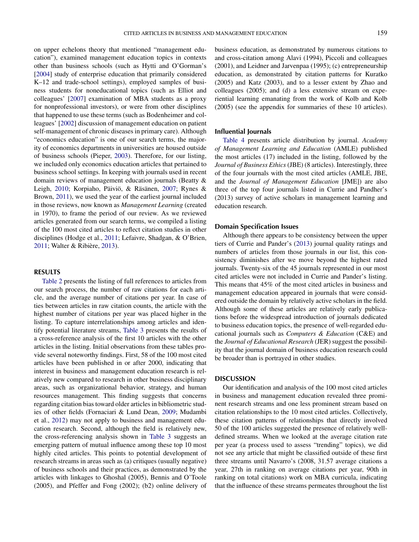on upper echelons theory that mentioned "management education"), examined management education topics in contexts other than business schools (such as Hytti and O'Gorman's [\[2004\]](#page-20-28) study of enterprise education that primarily considered K–12 and trade-school settings), employed samples of business students for noneducational topics (such as Elliot and colleagues' [\[2007\]](#page-20-29) examination of MBA students as a proxy for nonprofessional investors), or were from other disciplines that happened to use these terms (such as Bodenheimer and colleagues' [\[2002\]](#page-19-25) discussion of management education on patient self-management of chronic diseases in primary care). Although "economics education" is one of our search terms, the majority of economics departments in universities are housed outside of business schools (Pieper, [2003\)](#page-20-30). Therefore, for our listing, we included only economics education articles that pertained to business school settings. In keeping with journals used in recent domain reviews of management education journals (Beatty & Leigh, [2010;](#page-19-0) Korpiaho, Päiviö, & Räsänen, [2007;](#page-20-31) Rynes & Brown, [2011\)](#page-20-0), we used the year of the earliest journal included in those reviews, now known as *Management Learning* (created in 1970), to frame the period of our review. As we reviewed articles generated from our search terms, we compiled a listing of the 100 most cited articles to reflect citation studies in other disciplines (Hodge et al., [2011;](#page-20-14) Lefaivre, Shadgan, & O'Brien, [2011;](#page-20-32) Walter & Ribière, [2013\)](#page-21-10).

#### **RESULTS**

[Table 2](#page-7-0) presents the listing of full references to articles from our search process, the number of raw citations for each article, and the average number of citations per year. In case of ties between articles in raw citation counts, the article with the highest number of citations per year was placed higher in the listing. To capture interrelationships among articles and identify potential literature streams, [Table 3](#page-13-0) presents the results of a cross-reference analysis of the first 10 articles with the other articles in the listing. Initial observations from these tables provide several noteworthy findings. First, 58 of the 100 most cited articles have been published in or after 2000, indicating that interest in business and management education research is relatively new compared to research in other business disciplinary areas, such as organizational behavior, strategy, and human resources management. This finding suggests that concerns regarding citation bias toward older articles in bibliometric studies of other fields (Fornaciari & Lund Dean, [2009;](#page-20-3) Mudambi et al., [2012\)](#page-20-17) may not apply to business and management education research. Second, although the field is relatively new, the cross-referencing analysis shown in [Table 3](#page-13-0) suggests an emerging pattern of mutual influence among these top 10 most highly cited articles. This points to potential development of research streams in areas such as (a) critiques (usually negative) of business schools and their practices, as demonstrated by the articles with linkages to Ghoshal (2005), Bennis and O'Toole (2005), and Pfeffer and Fong (2002); (b2) online delivery of

business education, as demonstrated by numerous citations to and cross-citation among Alavi (1994), Piccoli and colleagues (2001), and Leidner and Jarvenpaa (1995); (c) entrepreneurship education, as demonstrated by citation patterns for Kuratko (2005) and Katz (2003), and to a lesser extent by Zhao and colleagues (2005); and (d) a less extensive stream on experiential learning emanating from the work of Kolb and Kolb (2005) (see the appendix for summaries of these 10 articles).

#### **Influential Journals**

[Table 4](#page-15-0) presents article distribution by journal. *Academy of Management Learning and Education* (AMLE) published the most articles (17) included in the listing, followed by the *Journal of Business Ethics* (JBE) (8 articles). Interestingly, three of the four journals with the most cited articles (AMLE, JBE, and the *Journal of Management Education* [JME]) are also three of the top four journals listed in Currie and Pandher's (2013) survey of active scholars in management learning and education research.

#### **Domain Specification Issues**

Although there appears to be consistency between the upper tiers of Currie and Pander's [\(2013\)](#page-19-1) journal quality ratings and numbers of articles from those journals in our list, this consistency diminishes after we move beyond the highest rated journals. Twenty-six of the 45 journals represented in our most cited articles were not included in Currie and Pander's listing. This means that 45% of the most cited articles in business and management education appeared in journals that were considered outside the domain by relatively active scholars in the field. Although some of these articles are relatively early publications before the widespread introduction of journals dedicated to business education topics, the presence of well-regarded educational journals such as *Computers & Education* (C&E) and the *Journal of Educational Research* (JER) suggest the possibility that the journal domain of business education research could be broader than is portrayed in other studies.

#### **DISCUSSION**

Our identification and analysis of the 100 most cited articles in business and management education revealed three prominent research streams and one less prominent stream based on citation relationships to the 10 most cited articles. Collectively, these citation patterns of relationships that directly involved 50 of the 100 articles suggested the presence of relatively welldefined streams. When we looked at the average citation rate per year (a process used to assess "trending" topics), we did not see any article that might be classified outside of these first three streams until Navarro's (2008, 31.57 average citations a year, 27th in ranking on average citations per year, 90th in ranking on total citations) work on MBA curricula, indicating that the influence of these streams permeates throughout the list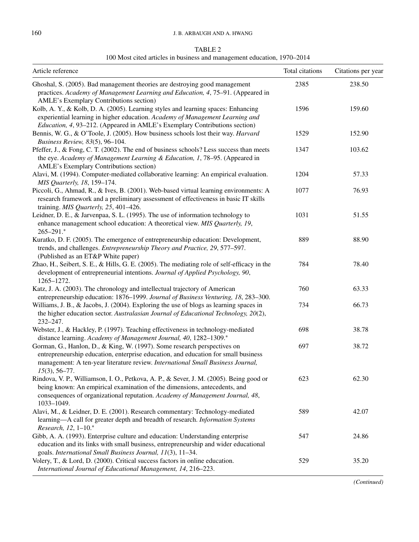## <span id="page-7-0"></span>J. B. ARBAUGH AND A. HWANG

| I<br>I<br>M.<br>٧<br>M.<br>٧ |  | ۹<br>× |
|------------------------------|--|--------|
|------------------------------|--|--------|

| TABLE 2                                                                 |
|-------------------------------------------------------------------------|
| 100 Most cited articles in business and management education, 1970–2014 |

| Article reference                                                                                                                                                                                                                                                    | Total citations | Citations per year |
|----------------------------------------------------------------------------------------------------------------------------------------------------------------------------------------------------------------------------------------------------------------------|-----------------|--------------------|
| Ghoshal, S. (2005). Bad management theories are destroying good management<br>practices. Academy of Management Learning and Education, 4, 75-91. (Appeared in<br>AMLE's Exemplary Contributions section)                                                             | 2385            | 238.50             |
| Kolb, A. Y., & Kolb, D. A. (2005). Learning styles and learning spaces: Enhancing<br>experiential learning in higher education. Academy of Management Learning and<br>Education, 4, 93-212. (Appeared in AMLE's Exemplary Contributions section)                     | 1596            | 159.60             |
| Bennis, W. G., & O'Toole, J. (2005). How business schools lost their way. Harvard<br>Business Review, 83(5), 96-104.                                                                                                                                                 | 1529            | 152.90             |
| Pfeffer, J., & Fong, C. T. (2002). The end of business schools? Less success than meets<br>the eye. Academy of Management Learning & Education, 1, 78-95. (Appeared in<br>AMLE's Exemplary Contributions section)                                                    | 1347            | 103.62             |
| Alavi, M. (1994). Computer-mediated collaborative learning: An empirical evaluation.<br>MIS Quarterly, 18, 159-174.                                                                                                                                                  | 1204            | 57.33              |
| Piccoli, G., Ahmad, R., & Ives, B. (2001). Web-based virtual learning environments: A<br>research framework and a preliminary assessment of effectiveness in basic IT skills<br>training. MIS Quarterly, 25, 401-426.                                                | 1077            | 76.93              |
| Leidner, D. E., & Jarvenpaa, S. L. (1995). The use of information technology to<br>enhance management school education: A theoretical view. MIS Quarterly, 19,<br>$265 - 291.*$                                                                                      | 1031            | 51.55              |
| Kuratko, D. F. (2005). The emergence of entrepreneurship education: Development,<br>trends, and challenges. Entrepreneurship Theory and Practice, 29, 577-597.<br>(Published as an ET&P White paper)                                                                 | 889             | 88.90              |
| Zhao, H., Seibert, S. E., & Hills, G. E. (2005). The mediating role of self-efficacy in the<br>development of entrepreneurial intentions. Journal of Applied Psychology, 90,<br>1265-1272.                                                                           | 784             | 78.40              |
| Katz, J. A. (2003). The chronology and intellectual trajectory of American<br>entrepreneurship education: 1876-1999. Journal of Business Venturing, 18, 283-300.                                                                                                     | 760             | 63.33              |
| Williams, J. B., & Jacobs, J. (2004). Exploring the use of blogs as learning spaces in<br>the higher education sector. Australasian Journal of Educational Technology, 20(2),<br>$232 - 247.$                                                                        | 734             | 66.73              |
| Webster, J., & Hackley, P. (1997). Teaching effectiveness in technology-mediated<br>distance learning. Academy of Management Journal, 40, 1282-1309.*                                                                                                                | 698             | 38.78              |
| Gorman, G., Hanlon, D., & King, W. (1997). Some research perspectives on<br>entrepreneurship education, enterprise education, and education for small business<br>management: A ten-year literature review. International Small Business Journal,<br>$15(3), 56-77.$ | 697             | 38.72              |
| Rindova, V. P., Williamson, I. O., Petkova, A. P., & Sever, J. M. (2005). Being good or<br>being known: An empirical examination of the dimensions, antecedents, and<br>consequences of organizational reputation. Academy of Management Journal, 48,<br>1033-1049.  | 623             | 62.30              |
| Alavi, M., & Leidner, D. E. (2001). Research commentary: Technology-mediated<br>learning—A call for greater depth and breadth of research. Information Systems<br>Research, 12, 1-10.*                                                                               | 589             | 42.07              |
| Gibb, A. A. (1993). Enterprise culture and education: Understanding enterprise<br>education and its links with small business, entrepreneurship and wider educational<br>goals. International Small Business Journal, 11(3), 11-34.                                  | 547             | 24.86              |
| Volery, T., & Lord, D. (2000). Critical success factors in online education.<br>International Journal of Educational Management, 14, 216-223.                                                                                                                        | 529             | 35.20              |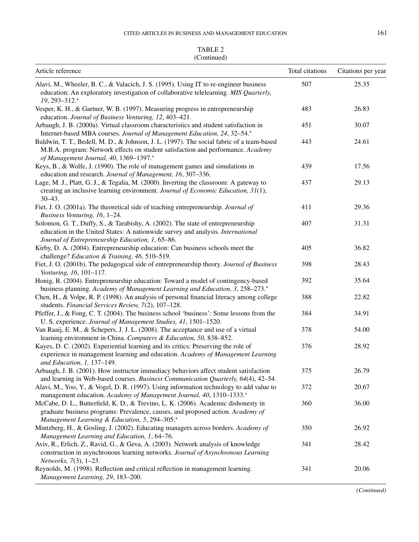|  | ٦<br>۰, |  |
|--|---------|--|
|  |         |  |

| <b>TABLE 2</b> |
|----------------|
| (Continued)    |

| Article reference                                                                                                                                                                                                       | Total citations | Citations per year |
|-------------------------------------------------------------------------------------------------------------------------------------------------------------------------------------------------------------------------|-----------------|--------------------|
| Alavi, M., Wheeler, B. C., & Valacich, J. S. (1995). Using IT to re-engineer business<br>education: An exploratory investigation of collaborative telelearning. MIS Quarterly,<br>19, 293-312.*                         | 507             | 25.35              |
| Vesper, K. H., & Gartner, W. B. (1997). Measuring progress in entrepreneurship<br>education. Journal of Business Venturing, 12, 403-421.                                                                                | 483             | 26.83              |
| Arbaugh, J. B. (2000a). Virtual classroom characteristics and student satisfaction in<br>Internet-based MBA courses. Journal of Management Education, 24, 32-54.*                                                       | 451             | 30.07              |
| Baldwin, T. T., Bedell, M. D., & Johnson, J. L. (1997). The social fabric of a team-based<br>M.B.A. program: Network effects on student satisfaction and performance. Academy<br>of Management Journal, 40, 1369-1397.* | 443             | 24.61              |
| Keys, B., & Wolfe, J. (1990). The role of management games and simulations in<br>education and research. Journal of Management, 16, 307-336.                                                                            | 439             | 17.56              |
| Lage, M. J., Platt, G. J., & Tegalia, M. (2000). Inverting the classroom: A gateway to<br>creating an inclusive learning environment. Journal of Economic Education, 31(1),<br>$30 - 43$ .                              | 437             | 29.13              |
| Fiet, J. O. (2001a). The theoretical side of teaching entrepreneurship. Journal of<br>Business Venturing, 16, 1-24.                                                                                                     | 411             | 29.36              |
| Solomon, G. T., Duffy, S., & Tarabishy, A. (2002). The state of entrepreneurship<br>education in the United States: A nationwide survey and analysis. International<br>Journal of Entrepreneurship Education, 1, 65-86. | 407             | 31.31              |
| Kirby, D. A. (2004). Entrepreneurship education: Can business schools meet the<br>challenge? Education & Training, 46, 510-519.                                                                                         | 405             | 36.82              |
| Fiet, J. O. (2001b). The pedagogical side of entrepreneurship theory. Journal of Business<br>Venturing, 16, 101-117.                                                                                                    | 398             | 28.43              |
| Honig, B. (2004). Entrepreneurship education: Toward a model of contingency-based<br>business planning. Academy of Management Learning and Education, 3, 258-273.*                                                      | 392             | 35.64              |
| Chen, H., & Volpe, R. P. (1998). An analysis of personal financial literacy among college<br>students. Financial Services Review, 7(2), 107-128.                                                                        | 388             | 22.82              |
| Pfeffer, J., & Fong, C. T. (2004). The business school 'business': Some lessons from the<br>U. S. experience. Journal of Management Studies, 41, 1501-1520.                                                             | 384             | 34.91              |
| Van Raaij, E. M., & Schepers, J. J. L. (2008). The acceptance and use of a virtual<br>learning environment in China. Computers & Education, 50, 838-852.                                                                | 378             | 54.00              |
| Kayes, D. C. (2002). Experiential learning and its critics: Preserving the role of<br>experience in management learning and education. Academy of Management Learning<br>and Education, 1, 137-149.                     | 376             | 28.92              |
| Arbaugh, J. B. (2001). How instructor immediacy behaviors affect student satisfaction<br>and learning in Web-based courses. Business Communication Quarterly, 64(4), 42–54.                                             | 375             | 26.79              |
| Alavi, M., Yoo, Y., & Vogel, D. R. (1997). Using information technology to add value to<br>management education. Academy of Management Journal, 40, 1310-1333.*                                                         | 372             | 20.67              |
| McCabe, D. L., Butterfield, K. D., & Trevino, L. K. (2006). Academic dishonesty in<br>graduate business programs: Prevalence, causes, and proposed action. Academy of<br>Management Learning & Education, 5, 294-305.*  | 360             | 36.00              |
| Mintzberg, H., & Gosling, J. (2002). Educating managers across borders. Academy of<br>Management Learning and Education, 1, 64-76.                                                                                      | 350             | 26.92              |
| Aviv, R., Erlich, Z., Ravid, G., & Geva, A. (2003). Network analysis of knowledge<br>construction in asynchronous learning networks. Journal of Asynchronous Learning<br>Networks, 7(3), 1-23.                          | 341             | 28.42              |
| Reynolds, M. (1998). Reflection and critical reflection in management learning.<br>Management Learning, 29, 183-200.                                                                                                    | 341             | 20.06              |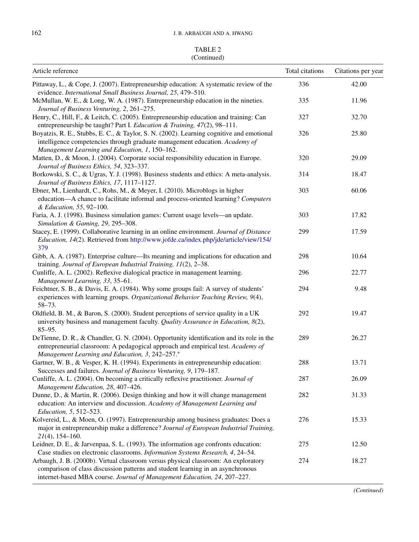| TABLE 2     |
|-------------|
| (Continued) |

| Article reference                                                                                                                                                                                                                                  | Total citations | Citations per year |
|----------------------------------------------------------------------------------------------------------------------------------------------------------------------------------------------------------------------------------------------------|-----------------|--------------------|
| Pittaway, L., & Cope, J. (2007). Entrepreneurship education: A systematic review of the<br>evidence. International Small Business Journal, 25, 479-510.                                                                                            | 336             | 42.00              |
| McMullan, W. E., & Long, W. A. (1987). Entrepreneurship education in the nineties.<br>Journal of Business Venturing, 2, 261-275.                                                                                                                   | 335             | 11.96              |
| Henry, C., Hill, F., & Leitch, C. (2005). Entrepreneurship education and training: Can<br>entrepreneurship be taught? Part I. Education & Training, 47(2), 98-111.                                                                                 | 327             | 32.70              |
| Boyatzis, R. E., Stubbs, E. C., & Taylor, S. N. (2002). Learning cognitive and emotional<br>intelligence competencies through graduate management education. Academy of<br>Management Learning and Education, 1, 150-162.                          | 326             | 25.80              |
| Matten, D., & Moon, J. (2004). Corporate social responsibility education in Europe.<br>Journal of Business Ethics, 54, 323-337.                                                                                                                    | 320             | 29.09              |
| Borkowski, S. C., & Ugras, Y. J. (1998). Business students and ethics: A meta-analysis.<br>Journal of Business Ethics, 17, 1117-1127.                                                                                                              | 314             | 18.47              |
| Ebner, M., Lienhardt, C., Rohs, M., & Meyer, I. (2010). Microblogs in higher<br>education-A chance to facilitate informal and process-oriented learning? Computers<br>& Education, 55, 92-100.                                                     | 303             | 60.06              |
| Faria, A. J. (1998). Business simulation games: Current usage levels—an update.<br>Simulation & Gaming, 29, 295-308.                                                                                                                               | 303             | 17.82              |
| Stacey, E. (1999). Collaborative learning in an online environment. Journal of Distance<br>Education, 14(2). Retrieved from http://www.jofde.ca/index.php/jde/article/view/154/<br>379                                                             | 299             | 17.59              |
| Gibb, A. A. (1987). Enterprise culture—Its meaning and implications for education and<br>training. Journal of European Industrial Training, 11(2), 2-38.                                                                                           | 298             | 10.64              |
| Cunliffe, A. L. (2002). Reflexive dialogical practice in management learning.<br>Management Learning, 33, 35-61.                                                                                                                                   | 296             | 22.77              |
| Feichtner, S. B., & Davis, E. A. (1984). Why some groups fail: A survey of students'<br>experiences with learning groups. Organizational Behavior Teaching Review, 9(4),<br>$58 - 73.$                                                             | 294             | 9.48               |
| Oldfield, B. M., & Baron, S. (2000). Student perceptions of service quality in a UK<br>university business and management faculty. Quality Assurance in Education, 8(2),<br>$85 - 95.$                                                             | 292             | 19.47              |
| DeTienne, D. R., & Chandler, G. N. (2004). Opportunity identification and its role in the<br>entrepreneurial classroom: A pedagogical approach and empirical test. Academy of<br>Management Learning and Education, 3, 242-257.*                   | 289             | 26.27              |
| Gartner, W. B., & Vesper, K. H. (1994). Experiments in entrepreneurship education:<br>Successes and failures. Journal of Business Venturing, 9, 179-187.                                                                                           | 288             | 13.71              |
| Cunliffe, A. L. (2004). On becoming a critically reflexive practitioner. Journal of<br>Management Education, 28, 407-426.                                                                                                                          | 287             | 26.09              |
| Dunne, D., & Martin, R. (2006). Design thinking and how it will change management<br>education: An interview and discussion. Academy of Management Learning and<br>Education, 5, 512-523.                                                          | 282             | 31.33              |
| Kolvereid, L., & Moen, O. (1997). Entrepreneurship among business graduates: Does a<br>major in entrepreneurship make a difference? Journal of European Industrial Training,<br>$2I(4)$ , 154-160.                                                 | 276             | 15.33              |
| Leidner, D. E., & Jarvenpaa, S. L. (1993). The information age confronts education:<br>Case studies on electronic classrooms. Information Systems Research, 4, 24-54.                                                                              | 275             | 12.50              |
| Arbaugh, J. B. (2000b). Virtual classroom versus physical classroom: An exploratory<br>comparison of class discussion patterns and student learning in an asynchronous<br>internet-based MBA course. Journal of Management Education, 24, 207-227. | 274             | 18.27              |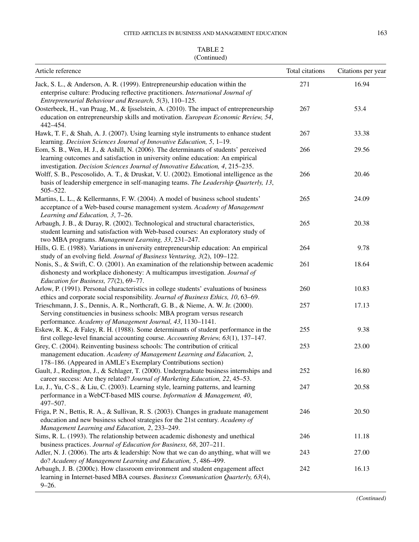| <b>TABLE 2</b> |
|----------------|
| (Continued)    |

| Article reference                                                                                                                                                                                                                                                                                                                 | Total citations | Citations per year |
|-----------------------------------------------------------------------------------------------------------------------------------------------------------------------------------------------------------------------------------------------------------------------------------------------------------------------------------|-----------------|--------------------|
| Jack, S. L., & Anderson, A. R. (1999). Entrepreneurship education within the<br>enterprise culture: Producing reflective practitioners. International Journal of<br>Entrepreneurial Behaviour and Research, 5(3), 110-125.                                                                                                        | 271             | 16.94              |
| Oosterbeek, H., van Praag, M., & Ijsselstein, A. (2010). The impact of entrepreneurship<br>education on entrepreneurship skills and motivation. European Economic Review, 54,<br>442-454.                                                                                                                                         | 267             | 53.4               |
| Hawk, T. F., & Shah, A. J. (2007). Using learning style instruments to enhance student                                                                                                                                                                                                                                            | 267             | 33.38              |
| learning. Decision Sciences Journal of Innovative Education, 5, 1-19.<br>Eom, S. B., Wen, H. J., & Ashill, N. (2006). The determinants of students' perceived<br>learning outcomes and satisfaction in university online education: An empirical<br>investigation. Decision Sciences Journal of Innovative Education, 4, 215-235. | 266             | 29.56              |
| Wolff, S. B., Pescosolido, A. T., & Druskat, V. U. (2002). Emotional intelligence as the<br>basis of leadership emergence in self-managing teams. The Leadership Quarterly, 13,<br>505-522.                                                                                                                                       | 266             | 20.46              |
| Martins, L. L., & Kellermanns, F. W. (2004). A model of business school students'<br>acceptance of a Web-based course management system. Academy of Management<br>Learning and Education, 3, 7-26.                                                                                                                                | 265             | 24.09              |
| Arbaugh, J. B., & Duray, R. (2002). Technological and structural characteristics,<br>student learning and satisfaction with Web-based courses: An exploratory study of<br>two MBA programs. Management Learning, 33, 231-247.                                                                                                     | 265             | 20.38              |
| Hills, G. E. (1988). Variations in university entrepreneurship education: An empirical<br>study of an evolving field. Journal of Business Venturing, 3(2), 109-122.                                                                                                                                                               | 264             | 9.78               |
| Nonis, S., & Swift, C. O. (2001). An examination of the relationship between academic<br>dishonesty and workplace dishonesty: A multicampus investigation. Journal of<br>Education for Business, 77(2), 69-77.                                                                                                                    | 261             | 18.64              |
| Arlow, P. (1991). Personal characteristics in college students' evaluations of business<br>ethics and corporate social responsibility. Journal of Business Ethics, 10, 63-69.                                                                                                                                                     | 260             | 10.83              |
| Trieschmann, J. S., Dennis, A. R., Northcraft, G. B., & Nieme, A. W. Jr. (2000).<br>Serving constituencies in business schools: MBA program versus research<br>performance. Academy of Management Journal, 43, 1130-1141.                                                                                                         | 257             | 17.13              |
| Eskew, R. K., & Faley, R. H. (1988). Some determinants of student performance in the<br>first college-level financial accounting course. Accounting Review, 63(1), 137-147.                                                                                                                                                       | 255             | 9.38               |
| Grey, C. (2004). Reinventing business schools: The contribution of critical<br>management education. Academy of Management Learning and Education, 2,<br>178-186. (Appeared in AMLE's Exemplary Contributions section)                                                                                                            | 253             | 23.00              |
| Gault, J., Redington, J., & Schlager, T. (2000). Undergraduate business internships and<br>career success: Are they related? Journal of Marketing Education, 22, 45–53.                                                                                                                                                           | 252             | 16.80              |
| Lu, J., Yu, C-S., & Liu, C. (2003). Learning style, learning patterns, and learning<br>performance in a WebCT-based MIS course. Information & Management, 40,<br>497-507.                                                                                                                                                         | 247             | 20.58              |
| Friga, P. N., Bettis, R. A., & Sullivan, R. S. (2003). Changes in graduate management<br>education and new business school strategies for the 21st century. Academy of<br>Management Learning and Education, 2, 233-249.                                                                                                          | 246             | 20.50              |
| Sims, R. L. (1993). The relationship between academic dishonesty and unethical<br>business practices. Journal of Education for Business, 68, 207-211.                                                                                                                                                                             | 246             | 11.18              |
| Adler, N. J. (2006). The arts & leadership: Now that we can do anything, what will we<br>do? Academy of Management Learning and Education, 5, 486-499.                                                                                                                                                                            | 243             | 27.00              |
| Arbaugh, J. B. (2000c). How classroom environment and student engagement affect<br>learning in Internet-based MBA courses. Business Communication Quarterly, 63(4),<br>$9 - 26.$                                                                                                                                                  | 242             | 16.13              |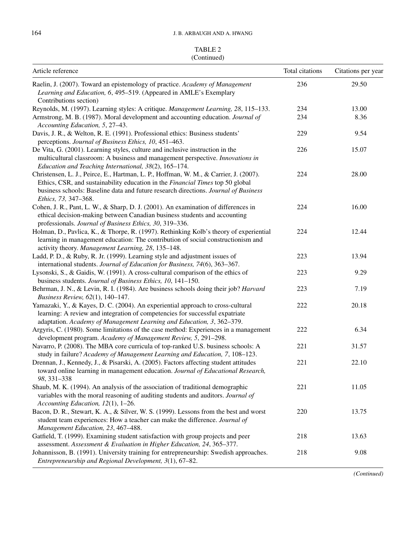| Article reference                                                                                                                                                                                                                                                                             | Total citations | Citations per year |
|-----------------------------------------------------------------------------------------------------------------------------------------------------------------------------------------------------------------------------------------------------------------------------------------------|-----------------|--------------------|
| Raelin, J. (2007). Toward an epistemology of practice. Academy of Management<br>Learning and Education, 6, 495–519. (Appeared in AMLE's Exemplary<br>Contributions section)                                                                                                                   | 236             | 29.50              |
| Reynolds, M. (1997). Learning styles: A critique. Management Learning, 28, 115-133.                                                                                                                                                                                                           | 234             | 13.00              |
| Armstrong, M. B. (1987). Moral development and accounting education. Journal of<br>Accounting Education, 5, 27-43.                                                                                                                                                                            | 234             | 8.36               |
| Davis, J. R., & Welton, R. E. (1991). Professional ethics: Business students'<br>perceptions. Journal of Business Ethics, 10, 451-463.                                                                                                                                                        | 229             | 9.54               |
| De Vita, G. (2001). Learning styles, culture and inclusive instruction in the<br>multicultural classroom: A business and management perspective. Innovations in<br>Education and Teaching International, 38(2), 165-174.                                                                      | 226             | 15.07              |
| Christensen, L. J., Peirce, E., Hartman, L. P., Hoffman, W. M., & Carrier, J. (2007).<br>Ethics, CSR, and sustainability education in the <i>Financial Times</i> top 50 global<br>business schools: Baseline data and future research directions. Journal of Business<br>Ethics, 73, 347-368. | 224             | 28.00              |
| Cohen, J. R., Pant, L. W., & Sharp, D. J. (2001). An examination of differences in<br>ethical decision-making between Canadian business students and accounting<br>professionals. Journal of Business Ethics, 30, 319-336.                                                                    | 224             | 16.00              |
| Holman, D., Pavlica, K., & Thorpe, R. (1997). Rethinking Kolb's theory of experiential<br>learning in management education: The contribution of social constructionism and<br>activity theory. Management Learning, 28, 135-148.                                                              | 224             | 12.44              |
| Ladd, P. D., & Ruby, R. Jr. (1999). Learning style and adjustment issues of<br>international students. Journal of Education for Business, 74(6), 363-367.                                                                                                                                     | 223             | 13.94              |
| Lysonski, S., & Gaidis, W. (1991). A cross-cultural comparison of the ethics of<br>business students. Journal of Business Ethics, 10, 141-150.                                                                                                                                                | 223             | 9.29               |
| Behrman, J. N., & Levin, R. I. (1984). Are business schools doing their job? Harvard<br>Business Review, 62(1), 140-147.                                                                                                                                                                      | 223             | 7.19               |
| Yamazaki, Y., & Kayes, D. C. (2004). An experiential approach to cross-cultural<br>learning: A review and integration of competencies for successful expatriate<br>adaptation. Academy of Management Learning and Education, 3, 362-379.                                                      | 222             | 20.18              |
| Argyris, C. (1980). Some limitations of the case method: Experiences in a management<br>development program. Academy of Management Review, 5, 291-298.                                                                                                                                        | 222             | 6.34               |
| Navarro, P. (2008). The MBA core curricula of top-ranked U.S. business schools: A<br>study in failure? Academy of Management Learning and Education, 7, 108-123.                                                                                                                              | 221             | 31.57              |
| Drennan, J., Kennedy, J., & Pisarski, A. (2005). Factors affecting student attitudes<br>toward online learning in management education. Journal of Educational Research,<br>98, 331-338                                                                                                       | 221             | 22.10              |
| Shaub, M. K. (1994). An analysis of the association of traditional demographic<br>variables with the moral reasoning of auditing students and auditors. Journal of<br>Accounting Education, 12(1), 1-26.                                                                                      | 221             | 11.05              |
| Bacon, D. R., Stewart, K. A., & Silver, W. S. (1999). Lessons from the best and worst<br>student team experiences: How a teacher can make the difference. Journal of<br>Management Education, 23, 467-488.                                                                                    | 220             | 13.75              |
| Gatfield, T. (1999). Examining student satisfaction with group projects and peer<br>assessment. Assessment & Evaluation in Higher Education, 24, 365-377.                                                                                                                                     | 218             | 13.63              |
| Johannisson, B. (1991). University training for entrepreneurship: Swedish approaches.<br>Entrepreneurship and Regional Development, 3(1), 67-82.                                                                                                                                              | 218             | 9.08               |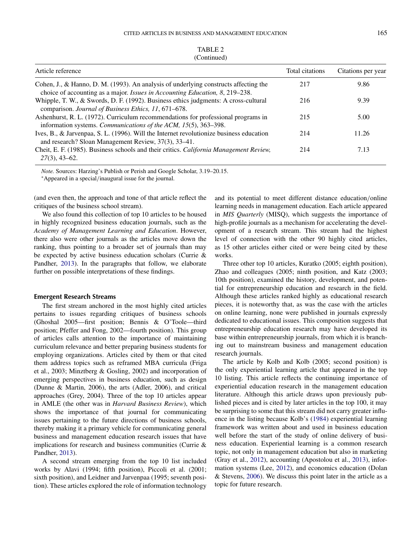| Article reference                                                                                                                                                    | Total citations | Citations per year |
|----------------------------------------------------------------------------------------------------------------------------------------------------------------------|-----------------|--------------------|
| Cohen, J., & Hanno, D. M. (1993). An analysis of underlying constructs affecting the<br>choice of accounting as a major. Issues in Accounting Education, 8, 219-238. | 217             | 9.86               |
| Whipple, T. W., & Swords, D. F. (1992). Business ethics judgments: A cross-cultural<br>comparison. Journal of Business Ethics, 11, 671-678.                          | 216             | 9.39               |
| Ashenburst, R. L. (1972). Curriculum recommendations for professional programs in<br>information systems. Communications of the ACM, 15(5), 363–398.                 | 215             | 5.00               |
| Ives, B., & Jarvenpaa, S. L. (1996). Will the Internet revolutionize business education<br>and research? Sloan Management Review, 37(3), 33–41.                      | 214             | 11.26              |
| Cheit, E. F. (1985). Business schools and their critics. California Management Review,<br>$27(3)$ , 43-62.                                                           | 214             | 7.13               |

TABLE 2 (Continued)

*Note.* Sources: Harzing's Publish or Perish and Google Scholar, 3.19–20.15.

<sup>∗</sup>Appeared in a special*/*inaugural issue for the journal.

(and even then, the approach and tone of that article reflect the critiques of the business school stream).

We also found this collection of top 10 articles to be housed in highly recognized business education journals, such as the *Academy of Management Learning and Education*. However, there also were other journals as the articles move down the ranking, thus pointing to a broader set of journals than may be expected by active business education scholars (Currie & Pandher, [2013\)](#page-19-1). In the paragraphs that follow, we elaborate further on possible interpretations of these findings.

#### **Emergent Research Streams**

The first stream anchored in the most highly cited articles pertains to issues regarding critiques of business schools (Ghoshal 2005—first position; Bennis & O'Toole—third position; Pfeffer and Fong, 2002—fourth position). This group of articles calls attention to the importance of maintaining curriculum relevance and better preparing business students for employing organizations. Articles cited by them or that cited them address topics such as reframed MBA curricula (Friga et al., 2003; Minztberg & Gosling, 2002) and incorporation of emerging perspectives in business education, such as design (Dunne & Martin, 2006), the arts (Adler, 2006), and critical approaches (Grey, 2004). Three of the top 10 articles appear in AMLE (the other was in *Harvard Business Review*), which shows the importance of that journal for communicating issues pertaining to the future directions of business schools, thereby making it a primary vehicle for communicating general business and management education research issues that have implications for research and business communities (Currie & Pandher, [2013\)](#page-19-1).

A second stream emerging from the top 10 list included works by Alavi (1994; fifth position), Piccoli et al. (2001; sixth position), and Leidner and Jarvenpaa (1995; seventh position). These articles explored the role of information technology and its potential to meet different distance education*/*online learning needs in management education. Each article appeared in *MIS Quarterly* (MISQ), which suggests the importance of high-profile journals as a mechanism for accelerating the development of a research stream. This stream had the highest level of connection with the other 90 highly cited articles, as 15 other articles either cited or were being cited by these works.

Three other top 10 articles, Kuratko (2005; eighth position), Zhao and colleagues (2005; ninth position, and Katz (2003; 10th position), examined the history, development, and potential for entrepreneurship education and research in the field. Although these articles ranked highly as educational research pieces, it is noteworthy that, as was the case with the articles on online learning, none were published in journals expressly dedicated to educational issues. This composition suggests that entrepreneurship education research may have developed its base within entrepreneurship journals, from which it is branching out to mainstream business and management education research journals.

The article by Kolb and Kolb (2005; second position) is the only experiential learning article that appeared in the top 10 listing. This article reflects the continuing importance of experiential education research in the management education literature. Although this article draws upon previously published pieces and is cited by later articles in the top 100, it may be surprising to some that this stream did not carry greater influence in the listing because Kolb's [\(1984\)](#page-20-33) experiential learning framework was written about and used in business education well before the start of the study of online delivery of business education. Experiential learning is a common research topic, not only in management education but also in marketing (Gray et al., [2012\)](#page-20-4), accounting (Apostolou et al., [2013\)](#page-19-4), information systems (Lee, [2012\)](#page-20-34), and economics education (Dolan & Stevens, [2006\)](#page-19-26). We discuss this point later in the article as a topic for future research.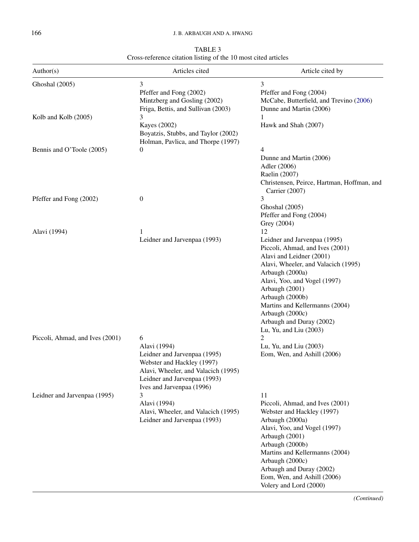| Author(s)                       | Articles cited                                                                                                                                                                      | Article cited by                                                                                                                                                                                                                                                                                                                            |
|---------------------------------|-------------------------------------------------------------------------------------------------------------------------------------------------------------------------------------|---------------------------------------------------------------------------------------------------------------------------------------------------------------------------------------------------------------------------------------------------------------------------------------------------------------------------------------------|
| Ghoshal (2005)                  | 3<br>Pfeffer and Fong (2002)                                                                                                                                                        | 3<br>Pfeffer and Fong (2004)                                                                                                                                                                                                                                                                                                                |
| Kolb and Kolb (2005)            | Mintzberg and Gosling (2002)<br>Friga, Bettis, and Sullivan (2003)<br>3                                                                                                             | McCabe, Butterfield, and Trevino (2006)<br>Dunne and Martin (2006)                                                                                                                                                                                                                                                                          |
|                                 | Kayes (2002)<br>Boyatzis, Stubbs, and Taylor (2002)                                                                                                                                 | Hawk and Shah (2007)                                                                                                                                                                                                                                                                                                                        |
| Bennis and O'Toole (2005)       | Holman, Pavlica, and Thorpe (1997)<br>$\theta$                                                                                                                                      | 4<br>Dunne and Martin (2006)<br>Adler (2006)<br>Raelin (2007)<br>Christensen, Peirce, Hartman, Hoffman, and<br>Carrier (2007)                                                                                                                                                                                                               |
| Pfeffer and Fong (2002)         | $\boldsymbol{0}$                                                                                                                                                                    | 3<br>Ghoshal (2005)<br>Pfeffer and Fong (2004)<br>Grey (2004)                                                                                                                                                                                                                                                                               |
| Alavi (1994)                    | 1<br>Leidner and Jarvenpaa (1993)                                                                                                                                                   | 12<br>Leidner and Jarvenpaa (1995)<br>Piccoli, Ahmad, and Ives (2001)<br>Alavi and Leidner (2001)<br>Alavi, Wheeler, and Valacich (1995)<br>Arbaugh (2000a)<br>Alavi, Yoo, and Vogel (1997)<br>Arbaugh (2001)<br>Arbaugh (2000b)<br>Martins and Kellermanns (2004)<br>Arbaugh (2000c)<br>Arbaugh and Duray (2002)<br>Lu, Yu, and Liu (2003) |
| Piccoli, Ahmad, and Ives (2001) | 6<br>Alavi (1994)<br>Leidner and Jarvenpaa (1995)<br>Webster and Hackley (1997)<br>Alavi, Wheeler, and Valacich (1995)<br>Leidner and Jarvenpaa (1993)<br>Ives and Jarvenpaa (1996) | $\mathfrak{D}$<br>Lu, Yu, and Liu (2003)<br>Eom, Wen, and Ashill (2006)                                                                                                                                                                                                                                                                     |
| Leidner and Jarvenpaa (1995)    | 3<br>Alavi (1994)<br>Alavi, Wheeler, and Valacich (1995)<br>Leidner and Jarvenpaa (1993)                                                                                            | 11<br>Piccoli, Ahmad, and Ives (2001)<br>Webster and Hackley (1997)<br>Arbaugh (2000a)<br>Alavi, Yoo, and Vogel (1997)<br>Arbaugh (2001)<br>Arbaugh (2000b)<br>Martins and Kellermanns (2004)<br>Arbaugh (2000c)<br>Arbaugh and Duray (2002)<br>Eom, Wen, and Ashill (2006)<br>Volery and Lord (2000)                                       |

<span id="page-13-0"></span>TABLE 3 Cross-reference citation listing of the 10 most cited articles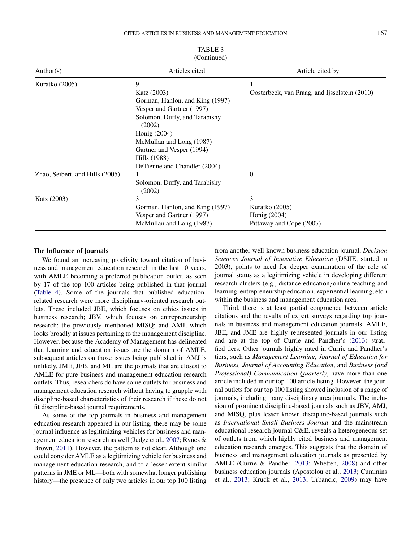| Author(s)                       | Articles cited                          | Article cited by                              |
|---------------------------------|-----------------------------------------|-----------------------------------------------|
| Kuratko (2005)                  | 9                                       |                                               |
|                                 | Katz (2003)                             | Oosterbeek, van Praag, and Ijsselstein (2010) |
|                                 | Gorman, Hanlon, and King (1997)         |                                               |
|                                 | Vesper and Gartner (1997)               |                                               |
|                                 | Solomon, Duffy, and Tarabishy<br>(2002) |                                               |
|                                 | Honig (2004)                            |                                               |
|                                 | McMullan and Long (1987)                |                                               |
|                                 | Gartner and Vesper (1994)               |                                               |
|                                 | Hills (1988)                            |                                               |
|                                 | DeTienne and Chandler (2004)            |                                               |
| Zhao, Seibert, and Hills (2005) |                                         | $\overline{0}$                                |
|                                 | Solomon, Duffy, and Tarabishy<br>(2002) |                                               |
| Katz (2003)                     | 3                                       | 3                                             |
|                                 | Gorman, Hanlon, and King (1997)         | Kuratko (2005)                                |
|                                 | Vesper and Gartner (1997)               | Honig (2004)                                  |
|                                 | McMullan and Long (1987)                | Pittaway and Cope (2007)                      |

| <b>TABLE 3</b> |
|----------------|
| (Continued)    |

#### **The Influence of Journals**

We found an increasing proclivity toward citation of business and management education research in the last 10 years, with AMLE becoming a preferred publication outlet, as seen by 17 of the top 100 articles being published in that journal [\(Table 4\)](#page-15-0). Some of the journals that published educationrelated research were more disciplinary-oriented research outlets. These included JBE, which focuses on ethics issues in business research; JBV, which focuses on entrepreneurship research; the previously mentioned MISQ; and AMJ, which looks broadly at issues pertaining to the management discipline. However, because the Academy of Management has delineated that learning and education issues are the domain of AMLE, subsequent articles on those issues being published in AMJ is unlikely. JME, JEB, and ML are the journals that are closest to AMLE for pure business and management education research outlets. Thus, researchers do have some outlets for business and management education research without having to grapple with discipline-based characteristics of their research if these do not fit discipline-based journal requirements.

As some of the top journals in business and management education research appeared in our listing, there may be some journal influence as legitimizing vehicles for business and management education research as well (Judge et al., [2007;](#page-20-5) Rynes & Brown, [2011\)](#page-20-0). However, the pattern is not clear. Although one could consider AMLE as a legitimizing vehicle for business and management education research, and to a lesser extent similar patterns in JME or ML—both with somewhat longer publishing history—the presence of only two articles in our top 100 listing

from another well-known business education journal, *Decision Sciences Journal of Innovative Education* (DSJIE, started in 2003), points to need for deeper examination of the role of journal status as a legitimizing vehicle in developing different research clusters (e.g., distance education*/*online teaching and learning, entrepreneurship education, experiential learning, etc.) within the business and management education area.

Third, there is at least partial congruence between article citations and the results of expert surveys regarding top journals in business and management education journals. AMLE, JBE, and JME are highly represented journals in our listing and are at the top of Currie and Pandher's [\(2013\)](#page-19-1) stratified tiers. Other journals highly rated in Currie and Pandher's tiers, such as *Management Learning, Journal of Education for Business, Journal of Accounting Education*, and *Business (and Professional) Communication Quarterly*, have more than one article included in our top 100 article listing. However, the journal outlets for our top 100 listing showed inclusion of a range of journals, including many disciplinary area journals. The inclusion of prominent discipline-based journals such as JBV, AMJ, and MISQ, plus lesser known discipline-based journals such as *International Small Business Journal* and the mainstream educational research journal C&E, reveals a heterogeneous set of outlets from which highly cited business and management education research emerges. This suggests that the domain of business and management education journals as presented by AMLE (Currie & Pandher, [2013;](#page-19-1) Whetten, [2008\)](#page-21-0) and other business education journals (Apostolou et al., [2013;](#page-19-4) Cummins et al., [2013;](#page-19-18) Kruck et al., [2013;](#page-20-13) Urbancic, [2009\)](#page-21-11) may have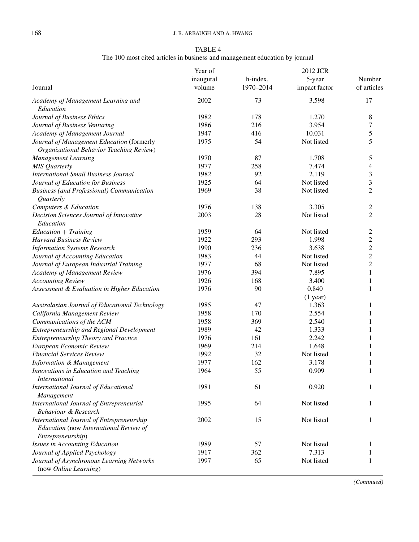<span id="page-15-0"></span>TABLE 4 The 100 most cited articles in business and management education by journal

|                                                                                                          | Year of             |                       | 2012 JCR                |                       |
|----------------------------------------------------------------------------------------------------------|---------------------|-----------------------|-------------------------|-----------------------|
| Journal                                                                                                  | inaugural<br>volume | h-index,<br>1970-2014 | 5-year<br>impact factor | Number<br>of articles |
| Academy of Management Learning and                                                                       | 2002                | 73                    | 3.598                   | 17                    |
| Education                                                                                                |                     |                       |                         |                       |
| Journal of Business Ethics                                                                               | 1982                | 178                   | 1.270                   | 8                     |
| Journal of Business Venturing                                                                            | 1986                | 216                   | 3.954                   | $\boldsymbol{7}$      |
| Academy of Management Journal                                                                            | 1947                | 416                   | 10.031                  | 5                     |
| Journal of Management Education (formerly<br>Organizational Behavior Teaching Review)                    | 1975                | 54                    | Not listed              | 5                     |
| <b>Management Learning</b>                                                                               | 1970                | 87                    | 1.708                   | 5                     |
| <b>MIS</b> Quarterly                                                                                     | 1977                | 258                   | 7.474                   | $\overline{4}$        |
| <b>International Small Business Journal</b>                                                              | 1982                | 92                    | 2.119                   | $\mathfrak{Z}$        |
| Journal of Education for Business                                                                        | 1925                | 64                    | Not listed              | 3                     |
| <b>Business (and Professional) Communication</b><br>Quarterly                                            | 1969                | 38                    | Not listed              | $\overline{2}$        |
| Computers & Education                                                                                    | 1976                | 138                   | 3.305                   | $\overline{c}$        |
| Decision Sciences Journal of Innovative<br>Education                                                     | 2003                | 28                    | Not listed              | $\overline{2}$        |
| $Education + Training$                                                                                   | 1959                | 64                    | Not listed              | $\overline{c}$        |
| <b>Harvard Business Review</b>                                                                           | 1922                | 293                   | 1.998                   | $\overline{2}$        |
| <b>Information Systems Research</b>                                                                      | 1990                | 236                   | 3.638                   | $\overline{c}$        |
| Journal of Accounting Education                                                                          | 1983                | 44                    | Not listed              | $\overline{c}$        |
| Journal of European Industrial Training                                                                  | 1977                | 68                    | Not listed              | $\overline{c}$        |
| Academy of Management Review                                                                             | 1976                | 394                   | 7.895                   | $\mathbf{1}$          |
| <b>Accounting Review</b>                                                                                 | 1926                | 168                   | 3.400                   | $\mathbf{1}$          |
| Assessment & Evaluation in Higher Education                                                              | 1976                | 90                    | 0.840                   | 1                     |
|                                                                                                          |                     |                       | $(1$ year)              |                       |
| Australasian Journal of Educational Technology                                                           | 1985                | 47                    | 1.363                   | 1                     |
| California Management Review                                                                             | 1958                | 170                   | 2.554                   | 1                     |
| Communications of the ACM                                                                                | 1958                | 369                   | 2.540                   |                       |
| Entrepreneurship and Regional Development                                                                | 1989                | 42                    | 1.333                   |                       |
| <b>Entrepreneurship Theory and Practice</b>                                                              | 1976                | 161                   | 2.242                   |                       |
| European Economic Review                                                                                 | 1969                | 214                   | 1.648                   |                       |
| <b>Financial Services Review</b>                                                                         | 1992                | 32                    | Not listed              |                       |
| <b>Information &amp; Management</b>                                                                      | 1977                | 162                   | 3.178                   | 1                     |
| Innovations in Education and Teaching<br><i>International</i>                                            | 1964                | 55                    | 0.909                   | 1                     |
| International Journal of Educational<br>Management                                                       | 1981                | 61                    | 0.920                   |                       |
| International Journal of Entrepreneurial<br>Behaviour & Research                                         | 1995                | 64                    | Not listed              |                       |
| International Journal of Entrepreneurship<br>Education (now International Review of<br>Entrepreneurship) | 2002                | 15                    | Not listed              | 1                     |
| Issues in Accounting Education                                                                           | 1989                | 57                    | Not listed              |                       |
| Journal of Applied Psychology                                                                            | 1917                | 362                   | 7.313                   |                       |
| Journal of Asynchronous Learning Networks<br>(now Online Learning)                                       | 1997                | 65                    | Not listed              |                       |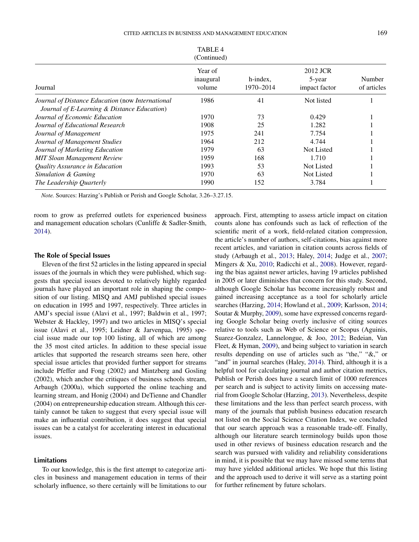| (Continued)                                      |                                |                       |                                     |                       |
|--------------------------------------------------|--------------------------------|-----------------------|-------------------------------------|-----------------------|
| Journal                                          | Year of<br>inaugural<br>volume | h-index,<br>1970-2014 | 2012 JCR<br>5-year<br>impact factor | Number<br>of articles |
| Journal of Distance Education (now International | 1986                           | 41                    | Not listed                          |                       |
| Journal of E-Learning & Distance Education)      |                                |                       |                                     |                       |
| Journal of Economic Education                    | 1970                           | 73                    | 0.429                               |                       |
| Journal of Educational Research                  | 1908                           | 25                    | 1.282                               |                       |
| Journal of Management                            | 1975                           | 241                   | 7.754                               |                       |
| Journal of Management Studies                    | 1964                           | 212                   | 4.744                               |                       |
| Journal of Marketing Education                   | 1979                           | 63                    | Not Listed                          |                       |
| <b>MIT Sloan Management Review</b>               | 1959                           | 168                   | 1.710                               |                       |
| Quality Assurance in Education                   | 1993                           | 53                    | Not Listed                          |                       |
| Simulation & Gaming                              | 1970                           | 63                    | Not Listed                          |                       |
| The Leadership Quarterly                         | 1990                           | 152                   | 3.784                               |                       |

TABLE 4

*Note.* Sources: Harzing's Publish or Perish and Google Scholar, 3.26–3.27.15.

room to grow as preferred outlets for experienced business and management education scholars (Cunliffe & Sadler-Smith, [2014\)](#page-19-27).

#### **The Role of Special Issues**

Eleven of the first 52 articles in the listing appeared in special issues of the journals in which they were published, which suggests that special issues devoted to relatively highly regarded journals have played an important role in shaping the composition of our listing. MISQ and AMJ published special issues on education in 1995 and 1997, respectively. Three articles in AMJ's special issue (Alavi et al., 1997; Baldwin et al., 1997; Webster & Hackley, 1997) and two articles in MISQ's special issue (Alavi et al., 1995; Leidner & Jarvenpaa, 1995) special issue made our top 100 listing, all of which are among the 35 most cited articles. In addition to these special issue articles that supported the research streams seen here, other special issue articles that provided further support for streams include Pfeffer and Fong (2002) and Mintzberg and Gosling (2002), which anchor the critiques of business schools stream, Arbaugh (2000a), which supported the online teaching and learning stream, and Honig (2004) and DeTienne and Chandler (2004) on entrepreneurship education stream. Although this certainly cannot be taken to suggest that every special issue will make an influential contribution, it does suggest that special issues can be a catalyst for accelerating interest in educational issues.

#### **Limitations**

To our knowledge, this is the first attempt to categorize articles in business and management education in terms of their scholarly influence, so there certainly will be limitations to our approach. First, attempting to assess article impact on citation counts alone has confounds such as lack of reflection of the scientific merit of a work, field-related citation compression, the article's number of authors, self-citations, bias against more recent articles, and variation in citation counts across fields of study (Arbaugh et al., [2013;](#page-19-8) Haley, [2014;](#page-20-6) Judge et al., [2007;](#page-20-5) Mingers & Xu, [2010;](#page-20-7) Radicchi et al., [2008\)](#page-20-8). However, regarding the bias against newer articles, having 19 articles published in 2005 or later diminishes that concern for this study. Second, although Google Scholar has become increasingly robust and gained increasing acceptance as a tool for scholarly article searches (Harzing, [2014;](#page-20-35) Howland et al., [2009;](#page-20-25) Karlsson, [2014;](#page-20-26) Soutar & Murphy, [2009\)](#page-21-8), some have expressed concerns regarding Google Scholar being overly inclusive of citing sources relative to tools such as Web of Science or Scopus (Aguinis, Suarez-Gonzalez, Lannelongue, & Joo, [2012;](#page-19-28) Bedeian, Van Fleet, & Hyman, [2009\)](#page-19-29), and being subject to variation in search results depending on use of articles such as "the," "&," or "and" in journal searches (Haley, [2014\)](#page-20-6). Third, although it is a helpful tool for calculating journal and author citation metrics, Publish or Perish does have a search limit of 1000 references per search and is subject to activity limits on accessing material from Google Scholar (Harzing, [2013\)](#page-20-36). Nevertheless, despite these limitations and the less than perfect search process, with many of the journals that publish business education research not listed on the Social Science Citation Index, we concluded that our search approach was a reasonable trade-off. Finally, although our literature search terminology builds upon those used in other reviews of business education research and the search was pursued with validity and reliability considerations in mind, it is possible that we may have missed some terms that may have yielded additional articles. We hope that this listing and the approach used to derive it will serve as a starting point for further refinement by future scholars.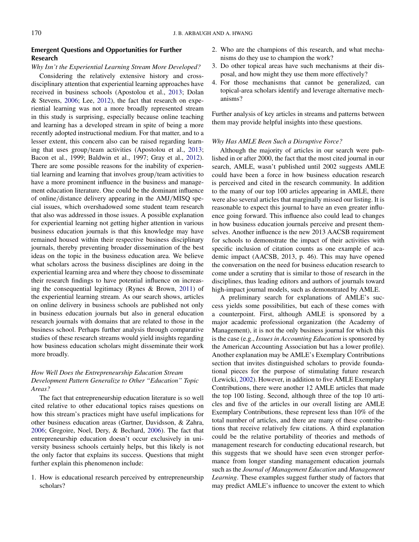## **Emergent Questions and Opportunities for Further Research**

#### *Why Isn't the Experiential Learning Stream More Developed?*

Considering the relatively extensive history and crossdisciplinary attention that experiential learning approaches have received in business schools (Apostolou et al., [2013;](#page-19-4) Dolan & Stevens, [2006;](#page-19-26) Lee, [2012\)](#page-20-34), the fact that research on experiential learning was not a more broadly represented stream in this study is surprising, especially because online teaching and learning has a developed stream in spite of being a more recently adopted instructional medium. For that matter, and to a lesser extent, this concern also can be raised regarding learning that uses group*/*team activities (Apostolou et al., [2013;](#page-19-4) Bacon et al., 1999; Baldwin et al., 1997; Gray et al., [2012\)](#page-20-4). There are some possible reasons for the inability of experiential learning and learning that involves group*/*team activities to have a more prominent influence in the business and management education literature. One could be the dominant influence of online*/*distance delivery appearing in the AMJ*/*MISQ special issues, which overshadowed some student team research that also was addressed in those issues. A possible explanation for experiential learning not getting higher attention in various business education journals is that this knowledge may have remained housed within their respective business disciplinary journals, thereby preventing broader dissemination of the best ideas on the topic in the business education area. We believe what scholars across the business disciplines are doing in the experiential learning area and where they choose to disseminate their research findings to have potential influence on increasing the consequential legitimacy (Rynes & Brown, [2011\)](#page-20-0) of the experiential learning stream. As our search shows, articles on online delivery in business schools are published not only in business education journals but also in general education research journals with domains that are related to those in the business school. Perhaps further analysis through comparative studies of these research streams would yield insights regarding how business education scholars might disseminate their work more broadly.

### *How Well Does the Entrepreneurship Education Stream Development Pattern Generalize to Other "Education" Topic Areas?*

The fact that entrepreneurship education literature is so well cited relative to other educational topics raises questions on how this stream's practices might have useful implications for other business education areas (Gartner, Davidsson, & Zahra, [2006;](#page-20-37) Gregoire, Noel, Dery, & Bechard, [2006\)](#page-20-38). The fact that entrepreneurship education doesn't occur exclusively in university business schools certainly helps, but this likely is not the only factor that explains its success. Questions that might further explain this phenomenon include:

1. How is educational research perceived by entrepreneurship scholars?

- 2. Who are the champions of this research, and what mechanisms do they use to champion the work?
- 3. Do other topical areas have such mechanisms at their disposal, and how might they use them more effectively?
- 4. For those mechanisms that cannot be generalized, can topical-area scholars identify and leverage alternative mechanisms?

Further analysis of key articles in streams and patterns between them may provide helpful insights into these questions.

#### *Why Has AMLE Been Such a Disruptive Force?*

Although the majority of articles in our search were published in or after 2000, the fact that the most cited journal in our search, AMLE, wasn't published until 2002 suggests AMLE could have been a force in how business education research is perceived and cited in the research community. In addition to the many of our top 100 articles appearing in AMLE, there were also several articles that marginally missed our listing. It is reasonable to expect this journal to have an even greater influence going forward. This influence also could lead to changes in how business education journals perceive and present themselves. Another influence is the new 2013 AACSB requirement for schools to demonstrate the impact of their activities with specific inclusion of citation counts as one example of academic impact (AACSB, 2013, p. 46). This may have opened the conversation on the need for business education research to come under a scrutiny that is similar to those of research in the disciplines, thus leading editors and authors of journals toward high-impact journal models, such as demonstrated by AMLE.

A preliminary search for explanations of AMLE's success yields some possibilities, but each of these comes with a counterpoint. First, although AMLE is sponsored by a major academic professional organization (the Academy of Management), it is not the only business journal for which this is the case (e.g., *Issues in Accounting Education* is sponsored by the American Accounting Association but has a lower profile). Another explanation may be AMLE's Exemplary Contributions section that invites distinguished scholars to provide foundational pieces for the purpose of stimulating future research (Lewicki, [2002\)](#page-20-39). However, in addition to five AMLE Exemplary Contributions, there were another 12 AMLE articles that made the top 100 listing. Second, although three of the top 10 articles and five of the articles in our overall listing are AMLE Exemplary Contributions, these represent less than 10% of the total number of articles, and there are many of these contributions that receive relatively few citations. A third explanation could be the relative portability of theories and methods of management research for conducting educational research, but this suggests that we should have seen even stronger performance from longer standing management education journals such as the *Journal of Management Education* and *Management Learning*. These examples suggest further study of factors that may predict AMLE's influence to uncover the extent to which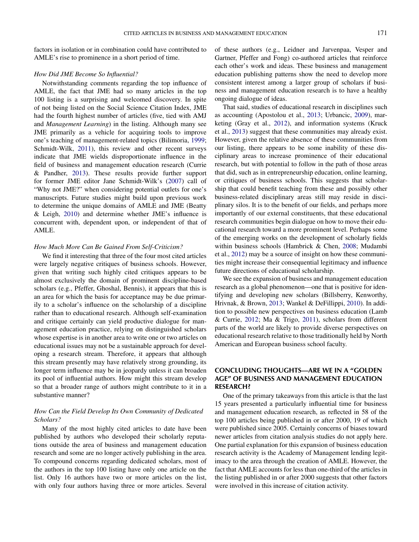factors in isolation or in combination could have contributed to AMLE's rise to prominence in a short period of time.

#### *How Did JME Become So Influential?*

Notwithstanding comments regarding the top influence of AMLE, the fact that JME had so many articles in the top 100 listing is a surprising and welcomed discovery. In spite of not being listed on the Social Science Citation Index, JME had the fourth highest number of articles (five, tied with AMJ and *Management Learning*) in the listing. Although many see JME primarily as a vehicle for acquiring tools to improve one's teaching of management-related topics (Bilimoria, [1999;](#page-19-30) Schmidt-Wilk, [2011\)](#page-21-12), this review and other recent surveys indicate that JME wields disproportionate influence in the field of business and management education research (Currie & Pandher, [2013\)](#page-19-1). These results provide further support for former JME editor Jane Schmidt-Wilk's [\(2007\)](#page-20-2) call of "Why not JME?" when considering potential outlets for one's manuscripts. Future studies might build upon previous work to determine the unique domains of AMLE and JME (Beatty & Leigh, [2010\)](#page-19-0) and determine whether JME's influence is concurrent with, dependent upon, or independent of that of AMLE.

#### *How Much More Can Be Gained From Self-Criticism?*

We find it interesting that three of the four most cited articles were largely negative critiques of business schools. However, given that writing such highly cited critiques appears to be almost exclusively the domain of prominent discipline-based scholars (e.g., Pfeffer, Ghoshal, Bennis), it appears that this is an area for which the basis for acceptance may be due primarily to a scholar's influence on the scholarship of a discipline rather than to educational research. Although self-examination and critique certainly can yield productive dialogue for management education practice, relying on distinguished scholars whose expertise is in another area to write one or two articles on educational issues may not be a sustainable approach for developing a research stream. Therefore, it appears that although this stream presently may have relatively strong grounding, its longer term influence may be in jeopardy unless it can broaden its pool of influential authors. How might this stream develop so that a broader range of authors might contribute to it in a substantive manner?

### *How Can the Field Develop Its Own Community of Dedicated Scholars?*

Many of the most highly cited articles to date have been published by authors who developed their scholarly reputations outside the area of business and management education research and some are no longer actively publishing in the area. To compound concerns regarding dedicated scholars, most of the authors in the top 100 listing have only one article on the list. Only 16 authors have two or more articles on the list, with only four authors having three or more articles. Several of these authors (e.g., Leidner and Jarvenpaa, Vesper and Gartner, Pfeffer and Fong) co-authored articles that reinforce each other's work and ideas. These business and management education publishing patterns show the need to develop more consistent interest among a larger group of scholars if business and management education research is to have a healthy ongoing dialogue of ideas.

That said, studies of educational research in disciplines such as accounting (Apostolou et al., [2013;](#page-19-4) Urbancic, [2009\)](#page-21-11), marketing (Gray et al., [2012\)](#page-20-4), and information systems (Kruck et al., [2013\)](#page-20-13) suggest that these communities may already exist. However, given the relative absence of these communities from our listing, there appears to be some inability of these disciplinary areas to increase prominence of their educational research, but with potential to follow in the path of those areas that did, such as in entrepreneurship education, online learning, or critiques of business schools. This suggests that scholarship that could benefit teaching from these and possibly other business-related disciplinary areas still may reside in disciplinary silos. It is to the benefit of our fields, and perhaps more importantly of our external constituents, that these educational research communities begin dialogue on how to move their educational research toward a more prominent level. Perhaps some of the emerging works on the development of scholarly fields within business schools (Hambrick & Chen, [2008;](#page-20-40) Mudambi et al., [2012\)](#page-20-17) may be a source of insight on how these communities might increase their consequential legitimacy and influence future directions of educational scholarship.

We see the expansion of business and management education research as a global phenomenon—one that is positive for identifying and developing new scholars (Billsberry, Kenworthy, Hrivnak, & Brown, [2013;](#page-19-31) Wankel & DeFillippi, [2010\)](#page-21-13). In addition to possible new perspectives on business education (Lamb & Currie, [2012;](#page-20-41) Ma & Trigo, [2011\)](#page-20-42), scholars from different parts of the world are likely to provide diverse perspectives on educational research relative to those traditionally held by North American and European business school faculty.

# **CONCLUDING THOUGHTS—ARE WE IN A "GOLDEN AGE" OF BUSINESS AND MANAGEMENT EDUCATION RESEARCH?**

One of the primary takeaways from this article is that the last 15 years presented a particularly influential time for business and management education research, as reflected in 58 of the top 100 articles being published in or after 2000, 19 of which were published since 2005. Certainly concerns of biases toward newer articles from citation analysis studies do not apply here. One partial explanation for this expansion of business education research activity is the Academy of Management lending legitimacy to the area through the creation of AMLE. However, the fact that AMLE accounts for less than one-third of the articles in the listing published in or after 2000 suggests that other factors were involved in this increase of citation activity.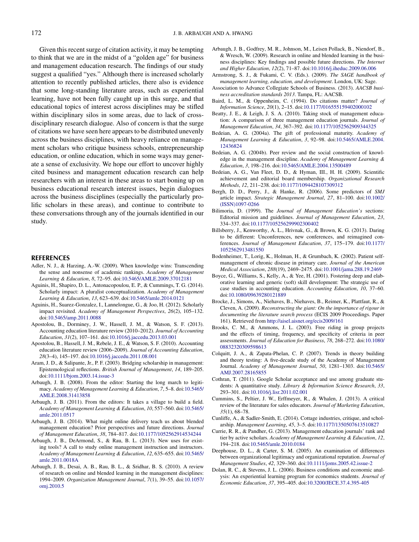Given this recent surge of citation activity, it may be tempting to think that we are in the midst of a "golden age" for business and management education research. The findings of our study suggest a qualified "yes." Although there is increased scholarly attention to recently published articles, there also is evidence that some long-standing literature areas, such as experiential learning, have not been fully caught up in this surge, and that educational topics of interest across disciplines may be stifled within disciplinary silos in some areas, due to lack of crossdisciplinary research dialogue. Also of concern is that the surge of citations we have seen here appears to be distributed unevenly across the business disciplines, with heavy reliance on management scholars who critique business schools, entrepreneurship education, or online education, which in some ways may generate a sense of exclusivity. We hope our effort to uncover highly cited business and management education research can help researchers with an interest in these areas to start boning up on business educational research interest issues, begin dialogues across the business disciplines (especially the particularly prolific scholars in these areas), and continue to contribute to these conversations through any of the journals identified in our study.

#### **REFERENCES**

- <span id="page-19-24"></span>Adler, N. J., & Harzing, A.-W. (2009). When knowledge wins: Transcending the sense and nonsense of academic rankings. *Academy of Management Learning & Education*, *8*, 72–95. doi[:1](http://dx.doi.org/10.5465/\gdef yes{no}\penalty \z@ \gdef \ {\penalty \z@ }\gdef no{no}\gdef yes{yes}\gdef \ \gdef \ {\ }\gdef no{no}\gdef yes{yes}{\penalty \z@ \gdef \ {\penalty \z@ }\gdef no{no}\gdef yes{yes}}AMLE.2009.37012181)[0.5465/AMLE.2009.37012181](http://dx.doi.org/10.5465/AMLE.2009.37012181)
- <span id="page-19-7"></span>Aguinis, H., Shapiro, D. L., Antonacopoulou, E. P., & Cummings, T. G. (2014). Scholarly impact: A pluralist conceptualization. *Academy of Management Learning & Education*, *13*, 623–639. doi[:10.5465/amle.2014.0121](http://dx.doi.org/10.5465/\gdef yes{no}\penalty \z@ \gdef \ {\penalty \z@ }\gdef no{no}\gdef yes{yes}\gdef \ \gdef \ {\ }\gdef no{no}\gdef yes{yes}{\penalty \z@ \gdef \ {\penalty \z@ }\gdef no{no}\gdef yes{yes}}amle.2014.0121)
- <span id="page-19-28"></span>Aguinis, H., Suarez-Gonzalez, I., Lannelongue, G., & Joo, H. (2012). Scholarly impact revisited. *Academy of Management Perspectives*, *26*(2), 105–132. doi[:10.5465/amp.2011.0088](http://dx.doi.org/10.5465/\gdef yes{no}\penalty \z@ \gdef \ {\penalty \z@ }\gdef no{no}\gdef yes{yes}\gdef \ \gdef \ {\ }\gdef no{no}\gdef yes{yes}{\penalty \z@ \gdef \ {\penalty \z@ }\gdef no{no}\gdef yes{yes}}amp.2011.0088)
- <span id="page-19-4"></span>Apostolou, B., Dorminey, J. W., Hassell, J. M., & Watson, S. F. (2013). Accounting education literature review (2010–2012). *Journal of Accounting Education*, *31*(2), 107–161. doi[:10.1016/j.jaccedu.2013.03.001](http://dx.doi.org/10.1016/\gdef yes{no}\penalty \z@ \gdef \ {\penalty \z@ }\gdef no{no}\gdef yes{yes}\gdef \ \gdef \ {\ }\gdef no{no}\gdef yes{yes}{\penalty \z@ \gdef \ {\penalty \z@ }\gdef no{no}\gdef yes{yes}}j.jaccedu.2013.03.001)
- <span id="page-19-6"></span>Apostolou, B., Hassell, J. M., Rebele, J. E., & Watson, S. F. (2010). Accounting education literature review (2006–2009). *Journal of Accounting Education*, *28*(3–4), 145–197. doi[:10.1016/j.jaccedu.2011.08.001](http://dx.doi.org/10.1016/\gdef yes{no}\penalty \z@ \gdef \ {\penalty \z@ }\gdef no{no}\gdef yes{yes}\gdef \ \gdef \ {\ }\gdef no{no}\gdef yes{yes}{\penalty \z@ \gdef \ {\penalty \z@ }\gdef no{no}\gdef yes{yes}}j.jaccedu.2011.08.001)
- <span id="page-19-10"></span>Aram, J. D., & Salipante, Jr., P. F. (2003). Bridging scholarship in management: Epistemological reflections. *British Journal of Management*, *14*, 189–205. doi[:10.1111/bjom.2003.14.issue-3](http://dx.doi.org/10.1111/\gdef yes{no}\penalty \z@ \gdef \ {\penalty \z@ }\gdef no{no}\gdef yes{yes}\gdef \ \gdef \ {\ }\gdef no{no}\gdef yes{yes}{\penalty \z@ \gdef \ {\penalty \z@ }\gdef no{no}\gdef yes{yes}}bjom.2003.14.issue-3)
- <span id="page-19-12"></span>Arbaugh, J. B. (2008). From the editor: Starting the long march to legitimacy. *Academy of Man[agement Learning & Education](http://dx.doi.org/10.5465/\gdef yes{no}\penalty \z@ \gdef \ {\penalty \z@ }\gdef no{no}\gdef yes{yes}\gdef \ \gdef \ {\ }\gdef no{no}\gdef yes{yes}{\penalty \z@ \gdef \ {\penalty \z@ }\gdef no{no}\gdef yes{yes}}AMLE.2008.31413858)*, *7*, 5–8. doi:[10.5465/](http://dx.doi.org/10.5465/AMLE.2008.31413858) [AMLE.2008.31413858](http://dx.doi.org/10.5465/AMLE.2008.31413858)
- <span id="page-19-2"></span>Arbaugh, J. B. (2011). From the editors: It takes a village to build a field. *Academy of Ma[nagement Learning & Education](http://dx.doi.org/10.5465/\gdef yes{no}\penalty \z@ \gdef \ {\penalty \z@ }\gdef no{no}\gdef yes{yes}\gdef \ \gdef \ {\ }\gdef no{no}\gdef yes{yes}{\penalty \z@ \gdef \ {\penalty \z@ }\gdef no{no}\gdef yes{yes}}amle.2011.0517)*, *10*, 557–560. doi:[10.5465/](http://dx.doi.org/10.5465/amle.2011.0517) [amle.2011.0517](http://dx.doi.org/10.5465/amle.2011.0517)
- <span id="page-19-16"></span>Arbaugh, J. B. (2014). What might online delivery teach us about blended management education? Prior perspectives and future directions. *Journal of Management Education*, *38*, 784–817. doi[:1](http://dx.doi.org/10.1177/\gdef yes{no}\penalty \z@ \gdef \ {\penalty \z@ }\gdef no{no}\gdef yes{yes}\gdef \ \gdef \ {\ }\gdef no{no}\gdef yes{yes}{\penalty \z@ \gdef \ {\penalty \z@ }\gdef no{no}\gdef yes{yes}}1052562914534244)[0.1177/1052562914534244](http://dx.doi.org/10.1177/1052562914534244)
- <span id="page-19-8"></span>Arbaugh, J. B., DeArmond, S., & Rau, B. L. (2013). New uses for existing tools? A call to study online management instruction and instructors. *Academy of Mana[gement](http://dx.doi.org/10.5465/\gdef yes{no}\penalty \z@ \gdef \ {\penalty \z@ }\gdef no{no}\gdef yes{yes}\gdef \ \gdef \ {\ }\gdef no{no}\gdef yes{yes}{\penalty \z@ \gdef \ {\penalty \z@ }\gdef no{no}\gdef yes{yes}}amle.2011.0018A) [Learning](http://dx.doi.org/10.5465/\gdef yes{no}\penalty \z@ \gdef \ {\penalty \z@ }\gdef no{no}\gdef yes{yes}\gdef \ \gdef \ {\ }\gdef no{no}\gdef yes{yes}{\penalty \z@ \gdef \ {\penalty \z@ }\gdef no{no}\gdef yes{yes}}amle.2011.0018A) [&](http://dx.doi.org/10.5465/\gdef yes{no}\penalty \z@ \gdef \ {\penalty \z@ }\gdef no{no}\gdef yes{yes}\gdef \ \gdef \ {\ }\gdef no{no}\gdef yes{yes}{\penalty \z@ \gdef \ {\penalty \z@ }\gdef no{no}\gdef yes{yes}}amle.2011.0018A) [Education](http://dx.doi.org/10.5465/\gdef yes{no}\penalty \z@ \gdef \ {\penalty \z@ }\gdef no{no}\gdef yes{yes}\gdef \ \gdef \ {\ }\gdef no{no}\gdef yes{yes}{\penalty \z@ \gdef \ {\penalty \z@ }\gdef no{no}\gdef yes{yes}}amle.2011.0018A)*, *12*, 635–655. doi:[10.5465/](http://dx.doi.org/10.5465/amle.2011.0018A) [amle.2011.0018A](http://dx.doi.org/10.5465/amle.2011.0018A)
- <span id="page-19-20"></span>Arbaugh, J. B., Desai, A. B., Rau, B. L., & Sridhar, B. S. (2010). A review of research on online and blended learning in the management disciplines: 1994–2009. *Organization Management Journal*, *7*(1), 39–55. doi:[10.1057/](http://dx.doi.org/10.1057/omj.2010.5) [omj.2010.5](http://dx.doi.org/10.1057/omj.2010.5)
- <span id="page-19-5"></span>Arbaugh, J. B., Godfrey, M. R., Johnson, M., Leisen Pollack, B., Niendorf, B., & Wresch, W. (2009). Research in online and blended learning in the business disciplines: Key findings and possible future directions. *The Internet and Higher Education*, *12*(2), 71–87. doi[:10.1016/j.iheduc.2009.06.006](http://dx.doi.org/10.1016/\gdef yes{no}\penalty \z@ \gdef \ {\penalty \z@ }\gdef no{no}\gdef yes{yes}\gdef \ \gdef \ {\ }\gdef no{no}\gdef yes{yes}{\penalty \z@ \gdef \ {\penalty \z@ }\gdef no{no}\gdef yes{yes}}j.iheduc.2009.06.006)
- <span id="page-19-19"></span>Armstrong, S. J., & Fukami, C. V. (Eds.). (2009). *The SAGE handbook of management learning, education, and development*. London, UK: Sage.
- Association to Advance Collegiate Schools of Business. (2013). *AACSB business accreditation standards 2013*. Tampa, FL: AACSB.
- <span id="page-19-14"></span>Baird, L. M., & Oppenheim, C. (1994). Do citations matter? *Journal of Information Science*, *20*(1), 2–15. doi[:10.1177/016555159402000102](http://dx.doi.org/10.1177/\gdef yes{no}\penalty \z@ \gdef \ {\penalty \z@ }\gdef no{no}\gdef yes{yes}\gdef \ \gdef \ {\ }\gdef no{no}\gdef yes{yes}{\penalty \z@ \gdef \ {\penalty \z@ }\gdef no{no}\gdef yes{yes}}016555159402000102)
- <span id="page-19-0"></span>Beatty, J. E., & Leigh, J. S. A. (2010). Taking stock of management education: A comparison of three management education journals. *Journal of Management Education*, *34*, 367–392. doi[:10.1177/1052562909344325](http://dx.doi.org/10.1177/\gdef yes{no}\penalty \z@ \gdef \ {\penalty \z@ }\gdef no{no}\gdef yes{yes}\gdef \ \gdef \ {\ }\gdef no{no}\gdef yes{yes}{\penalty \z@ \gdef \ {\penalty \z@ }\gdef no{no}\gdef yes{yes}}1052562909344325)
- <span id="page-19-3"></span>Bedeian, A. G. (2004a). The gift of professional maturity. *Academy of Managem[ent Learning & Education](http://dx.doi.org/10.5465/\gdef yes{no}\penalty \z@ \gdef \ {\penalty \z@ }\gdef no{no}\gdef yes{yes}\gdef \ \gdef \ {\ }\gdef no{no}\gdef yes{yes}{\penalty \z@ \gdef \ {\penalty \z@ }\gdef no{no}\gdef yes{yes}}AMLE.\gdef yes{no}\penalty \z@ \gdef \ {\penalty \z@ }\gdef no{no}\gdef yes{yes}\gdef \ \gdef \ {\ }\gdef no{no}\gdef yes{yes}{\penalty \z@ \gdef \ {\penalty \z@ }\gdef no{no}\gdef yes{yes}}2004.\gdef yes{no}\penalty \z@ \gdef \ {\penalty \z@ }\gdef no{no}\gdef yes{yes}\gdef \ \gdef \ {\ }\gdef no{no}\gdef yes{yes}{\penalty \z@ \gdef \ {\penalty \z@ }\gdef no{no}\gdef yes{yes}}12436824)*, *3*, 92–98. doi:10.5465/AMLE.2004. 12436824
- <span id="page-19-11"></span>Bedeian, A. G. (2004b). Peer review and the social construction of knowledge in the management discipline. *Academy of Management Learning & Education*, *3*, 198–216. doi[:10.5465/AMLE.2004.13500489](http://dx.doi.org/10.5465/\gdef yes{no}\penalty \z@ \gdef \ {\penalty \z@ }\gdef no{no}\gdef yes{yes}\gdef \ \gdef \ {\ }\gdef no{no}\gdef yes{yes}{\penalty \z@ \gdef \ {\penalty \z@ }\gdef no{no}\gdef yes{yes}}AMLE.2004.13500489)
- <span id="page-19-29"></span>Bedeian, A. G., Van Fleet, D. D., & Hyman, III., H. H. (2009). Scientific achievement and editorial board membership. *Organizational Research Methods*, *12*, 211–238. doi[:1](http://dx.doi.org/10.1177/\gdef yes{no}\penalty \z@ \gdef \ {\penalty \z@ }\gdef no{no}\gdef yes{yes}\gdef \ \gdef \ {\ }\gdef no{no}\gdef yes{yes}{\penalty \z@ \gdef \ {\penalty \z@ }\gdef no{no}\gdef yes{yes}}1094428107309312)[0.1177/1094428107309312](http://dx.doi.org/10.1177/1094428107309312)
- <span id="page-19-15"></span>Bergh, D. D., Perry, J., & Hanke, R. (2006). Some predictors of *SMJ* article impact. *Strategic Management Journal*, *27*, 81–100. doi:[10.1002/](http://dx.doi.org/10.1002/(ISSN)1097-0266) [\(ISSN\)1097-0266](http://dx.doi.org/10.1002/(ISSN)1097-0266)
- <span id="page-19-30"></span>Bilimoria, D. (1999). The *Journal of Management Education's* sections: Editorial mission and guidelines. *Journal of Management Education*, *23*, 334–337. doi[:10.1177/105256299902300402](http://dx.doi.org/10.1177/\gdef yes{no}\penalty \z@ \gdef \ {\penalty \z@ }\gdef no{no}\gdef yes{yes}\gdef \ \gdef \ {\ }\gdef no{no}\gdef yes{yes}{\penalty \z@ \gdef \ {\penalty \z@ }\gdef no{no}\gdef yes{yes}}105256299902300402)
- <span id="page-19-31"></span>Billsberry, J., Kenworthy, A. L., Hrivnak, G., & Brown, K. G. (2013). Daring to be different: Unconferences, new conferences, and reimagined conferences. *Journal o[f Management Education](http://dx.doi.org/10.1177/\gdef yes{no}\penalty \z@ \gdef \ {\penalty \z@ }\gdef no{no}\gdef yes{yes}\gdef \ \gdef \ {\ }\gdef no{no}\gdef yes{yes}{\penalty \z@ \gdef \ {\penalty \z@ }\gdef no{no}\gdef yes{yes}}1052562913481550)*, *37*, 175–179. doi:[10.1177/](http://dx.doi.org/10.1177/1052562913481550) [1052562913481550](http://dx.doi.org/10.1177/1052562913481550)
- <span id="page-19-25"></span>Bodenheimer, T., Lorig, K., Holman, H., & Grumbach, K. (2002). Patient selfmanagement of chronic disease in primary care. *Journal of the American Medical Association*, *288*(19), 2469–2475. doi[:10.1001/jama.288.19.2469](http://dx.doi.org/10.1001/\gdef yes{no}\penalty \z@ \gdef \ {\penalty \z@ }\gdef no{no}\gdef yes{yes}\gdef \ \gdef \ {\ }\gdef no{no}\gdef yes{yes}{\penalty \z@ \gdef \ {\penalty \z@ }\gdef no{no}\gdef yes{yes}}jama.288.19.2469)
- <span id="page-19-21"></span>Boyce, G., Williams, S., Kelly, A., & Yee, H. (2001). Fostering deep and elaborative learning and generic (soft) skill development: The strategic use of case studies in accounting education. *Accounting Education*, *10*, 37–60. doi[:1](http://dx.doi.org/10.1080/\gdef yes{no}\penalty \z@ \gdef \ {\penalty \z@ }\gdef no{no}\gdef yes{yes}\gdef \ \gdef \ {\ }\gdef no{no}\gdef yes{yes}{\penalty \z@ \gdef \ {\penalty \z@ }\gdef no{no}\gdef yes{yes}}09639280121889)[0.1080/09639280121889](http://dx.doi.org/10.1080/09639280121889)
- <span id="page-19-17"></span>Brocke, J., Simons, A., Niehaves, B., Niehaves, B., Reimer, K., Plattfaut, R., & Cleven, A. (2009). *Reconstructing the giant: On the importance of rigour in documenting the literature search process* (ECIS 2009 Proceedings. Paper 161). Retrieved from <http://aisel.aisnet.org/ecis2009/161>
- <span id="page-19-22"></span>Brooks, C. M., & Ammons, J. L. (2003). Free riding in group projects and the effects of timing, frequency, and specificity of criteria in peer assessments. *Journal [of Education for Business](http://dx.doi.org/10.1080/\gdef yes{no}\penalty \z@ \gdef \ {\penalty \z@ }\gdef no{no}\gdef yes{yes}\gdef \ \gdef \ {\ }\gdef no{no}\gdef yes{yes}{\penalty \z@ \gdef \ {\penalty \z@ }\gdef no{no}\gdef yes{yes}}08832320309598613)*, *78*, 268–272. doi:[10.1080/](http://dx.doi.org/10.1080/08832320309598613) [08832320309598613](http://dx.doi.org/10.1080/08832320309598613)
- <span id="page-19-9"></span>Colquitt, J. A., & Zapata-Phelan, C. P. (2007). Trends in theory building and theory testing: A five-decade study of the Academy of Management Journal. *Academy of [Management Journal](http://dx.doi.org/10.5465/\gdef yes{no}\penalty \z@ \gdef \ {\penalty \z@ }\gdef no{no}\gdef yes{yes}\gdef \ \gdef \ {\ }\gdef no{no}\gdef yes{yes}{\penalty \z@ \gdef \ {\penalty \z@ }\gdef no{no}\gdef yes{yes}}AMJ.2007.28165855)*, *50*, 1281–1303. doi:[10.5465/](http://dx.doi.org/10.5465/AMJ.2007.28165855) [AMJ.2007.28165855](http://dx.doi.org/10.5465/AMJ.2007.28165855)
- <span id="page-19-23"></span>Cothran, T. (2011). Google Scholar acceptance and use among graduate students: A quantitative study. *Library & Information Science Research*, *33*, 293–301. doi[:10.1016/j.lisr.2011.02.001](http://dx.doi.org/10.1016/\gdef yes{no}\penalty \z@ \gdef \ {\penalty \z@ }\gdef no{no}\gdef yes{yes}\gdef \ \gdef \ {\ }\gdef no{no}\gdef yes{yes}{\penalty \z@ \gdef \ {\penalty \z@ }\gdef no{no}\gdef yes{yes}}j.lisr.2011.02.001)
- <span id="page-19-18"></span>Cummins, S., Peltier, J. W., Erffmeyer, R., & Whalen, J. (2013). A critical review of the literature for sales educators. *Journal of Marketing Education*, *35*(1), 68–78.
- <span id="page-19-27"></span>Cunliffe, A., & Sadler-Smith, E. (2014). Cottage industries, critique, and scholarship. *Management Learning*, *45*, 3–5. doi[:1](http://dx.doi.org/10.1177/\gdef yes{no}\penalty \z@ \gdef \ {\penalty \z@ }\gdef no{no}\gdef yes{yes}\gdef \ \gdef \ {\ }\gdef no{no}\gdef yes{yes}{\penalty \z@ \gdef \ {\penalty \z@ }\gdef no{no}\gdef yes{yes}}1350507613510827)[0.1177/1350507613510827](http://dx.doi.org/10.1177/1350507613510827)
- <span id="page-19-1"></span>Currie, R. R., & Pandher, G. (2013). Management education journals' rank and tier by active scholars. *Academy of Management Learning & Education*, *12*, 194–218. doi[:10.5465/amle.2010.0184](http://dx.doi.org/10.5465/\gdef yes{no}\penalty \z@ \gdef \ {\penalty \z@ }\gdef no{no}\gdef yes{yes}\gdef \ \gdef \ {\ }\gdef no{no}\gdef yes{yes}{\penalty \z@ \gdef \ {\penalty \z@ }\gdef no{no}\gdef yes{yes}}amle.2010.0184)
- <span id="page-19-13"></span>Deephouse, D. L., & Carter, S. M. (2005). An examination of differences between organizational legitimacy and organizational reputation. *Journal of Management Studies*, *42*, 329–360. doi[:10.1111/joms.2005.42.issue-2](http://dx.doi.org/10.1111/\gdef yes{no}\penalty \z@ \gdef \ {\penalty \z@ }\gdef no{no}\gdef yes{yes}\gdef \ \gdef \ {\ }\gdef no{no}\gdef yes{yes}{\penalty \z@ \gdef \ {\penalty \z@ }\gdef no{no}\gdef yes{yes}}joms.2005.42.issue-2)
- <span id="page-19-26"></span>Dolan, R. C., & Stevens, J. L. (2006). Business conditions and economic analysis: An experiential learning program for economics students. *Journal of Economic Education*, *37*, 395–405. doi[:10.3200/JECE.37.4.395-405](http://dx.doi.org/10.3200/\gdef yes{no}\penalty \z@ \gdef \ {\penalty \z@ }\gdef no{no}\gdef yes{yes}\gdef \ \gdef \ {\ }\gdef no{no}\gdef yes{yes}{\penalty \z@ \gdef \ {\penalty \z@ }\gdef no{no}\gdef yes{yes}}JECE.37.4.395-405)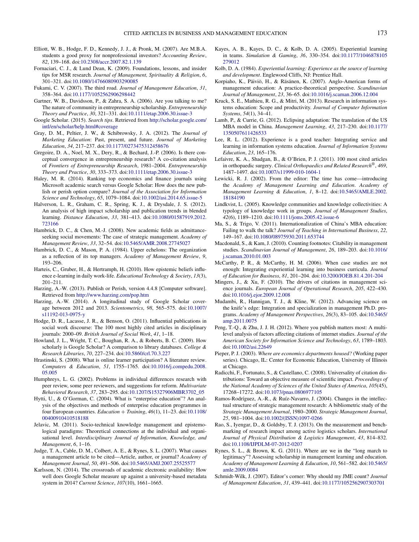- <span id="page-20-29"></span>Elliott, W. B., Hodge, F. D., Kennedy, J. J., & Pronk, M. (2007). Are M.B.A. students a good proxy for nonprofessional investors? *Accounting Review*, *82*, 139–168. doi[:1](http://dx.doi.org/10.2308/\gdef yes{no}\penalty \z@ \gdef \ {\penalty \z@ }\gdef no{no}\gdef yes{yes}\gdef \ \gdef \ {\ }\gdef no{no}\gdef yes{yes}{\penalty \z@ \gdef \ {\penalty \z@ }\gdef no{no}\gdef yes{yes}}accr.2007.82.1.139)[0.2308/accr.2007.82.1.139](http://dx.doi.org/10.2308/accr.2007.82.1.139)
- <span id="page-20-3"></span>Fornaciari, C. J., & Lund Dean, K. (2009). Foundations, lessons, and insider tips for MSR research. *Journal of Management, Spirituality & Religion*, *6*, 301–321. doi[:10.1080/14766080903290085](http://dx.doi.org/10.1080/\gdef yes{no}\penalty \z@ \gdef \ {\penalty \z@ }\gdef no{no}\gdef yes{yes}\gdef \ \gdef \ {\ }\gdef no{no}\gdef yes{yes}{\penalty \z@ \gdef \ {\penalty \z@ }\gdef no{no}\gdef yes{yes}}14766080903290085)
- <span id="page-20-1"></span>Fukami, C. V. (2007). The third road. *Journal of Management Education*, *31*, 358–364. doi[:10.1177/1052562906298442](http://dx.doi.org/10.1177/\gdef yes{no}\penalty \z@ \gdef \ {\penalty \z@ }\gdef no{no}\gdef yes{yes}\gdef \ \gdef \ {\ }\gdef no{no}\gdef yes{yes}{\penalty \z@ \gdef \ {\penalty \z@ }\gdef no{no}\gdef yes{yes}}1052562906298442)
- <span id="page-20-37"></span>Gartner, W. B., Davidsson, P., & Zahra, S. A. (2006). Are you talking to me? The nature of community in entrepreneurship scholarship. *Entrepreneurship Theory and Practice*, *30*, 321–331. doi[:10.1111/etap.2006.30.issue-3](http://dx.doi.org/10.1111/\gdef yes{no}\penalty \z@ \gdef \ {\penalty \z@ }\gdef no{no}\gdef yes{yes}\gdef \ \gdef \ {\ }\gdef no{no}\gdef yes{yes}{\penalty \z@ \gdef \ {\penalty \z@ }\gdef no{no}\gdef yes{yes}}etap.2006.30.issue-3)
- <span id="page-20-24"></span>Google Scholar. (2015). *Search tips*. Retrieved from [http://scholar.google.com/](http://scholar.google.com/intl/en/scholar/help.html#coverage) [intl/en/scholar/help.html#coverage](http://scholar.google.com/intl/en/scholar/help.html#coverage)
- <span id="page-20-4"></span>Gray, D. M., Peltier, J. W., & Schibrowsky, J. A. (2012). The *Journal of Marketing Education*: Past, present, and future. *Journal of Marketing Education*, *34*, 217–237. doi[:1](http://dx.doi.org/10.1177/\gdef yes{no}\penalty \z@ \gdef \ {\penalty \z@ }\gdef no{no}\gdef yes{yes}\gdef \ \gdef \ {\ }\gdef no{no}\gdef yes{yes}{\penalty \z@ \gdef \ {\penalty \z@ }\gdef no{no}\gdef yes{yes}}0273475312458676)[0.1177/0273475312458676](http://dx.doi.org/10.1177/0273475312458676)
- <span id="page-20-38"></span>Gregoire, D. A., Noel, M. X., Dery, R., & Bechard, J.-P. (2006). Is there conceptual convergence in entrepreneurship research? A co-citation analysis of *Frontiers of Entrepreneurship Research*, 1981–2004. *Entrepreneurship Theory and Practice*, *30*, 333–373. doi[:10.1111/etap.2006.30.issue-3](http://dx.doi.org/10.1111/\gdef yes{no}\penalty \z@ \gdef \ {\penalty \z@ }\gdef no{no}\gdef yes{yes}\gdef \ \gdef \ {\ }\gdef no{no}\gdef yes{yes}{\penalty \z@ \gdef \ {\penalty \z@ }\gdef no{no}\gdef yes{yes}}etap.2006.30.issue-3)
- <span id="page-20-6"></span>Haley, M. R. (2014). Ranking top economics and finance journals using Microsoft academic search versus Google Scholar: How does the new publish or perish option compare? *Journal of the Association for Information Science and Technology*, *65*, 1079–1084. doi[:1](http://dx.doi.org/10.1002/\gdef yes{no}\penalty \z@ \gdef \ {\penalty \z@ }\gdef no{no}\gdef yes{yes}\gdef \ \gdef \ {\ }\gdef no{no}\gdef yes{yes}{\penalty \z@ \gdef \ {\penalty \z@ }\gdef no{no}\gdef yes{yes}}asi.2014.65.issue-5)[0.1002/asi.2014.65.issue-5](http://dx.doi.org/10.1002/asi.2014.65.issue-5)
- <span id="page-20-16"></span>Halverson, L. R., Graham, C. R., Spring, K. J., & Drysdale, J. S. (2012). An analysis of high impact scholarship and publication trends in blended learning. *Distance Education*, *33*[,](http://dx.doi.org/10.1080/\gdef yes{no}\penalty \z@ \gdef \ {\penalty \z@ }\gdef no{no}\gdef yes{yes}\gdef \ \gdef \ {\ }\gdef no{no}\gdef yes{yes}{\penalty \z@ \gdef \ {\penalty \z@ }\gdef no{no}\gdef yes{yes}}01587919.2012.\gdef yes{no}\penalty -\@M \gdef \ {\penalty -\@M }\gdef no{no}\gdef yes{yes}\gdef \ \gdef \ {\ }\gdef no{no}\gdef yes{yes}{\penalty -\@M \gdef \ {\penalty -\@M }\gdef no{no}\gdef yes{yes}}723166) [381–413.](http://dx.doi.org/10.1080/\gdef yes{no}\penalty \z@ \gdef \ {\penalty \z@ }\gdef no{no}\gdef yes{yes}\gdef \ \gdef \ {\ }\gdef no{no}\gdef yes{yes}{\penalty \z@ \gdef \ {\penalty \z@ }\gdef no{no}\gdef yes{yes}}01587919.2012.\gdef yes{no}\penalty -\@M \gdef \ {\penalty -\@M }\gdef no{no}\gdef yes{yes}\gdef \ \gdef \ {\ }\gdef no{no}\gdef yes{yes}{\penalty -\@M \gdef \ {\penalty -\@M }\gdef no{no}\gdef yes{yes}}723166) [doi:](http://dx.doi.org/10.1080/\gdef yes{no}\penalty \z@ \gdef \ {\penalty \z@ }\gdef no{no}\gdef yes{yes}\gdef \ \gdef \ {\ }\gdef no{no}\gdef yes{yes}{\penalty \z@ \gdef \ {\penalty \z@ }\gdef no{no}\gdef yes{yes}}01587919.2012.\gdef yes{no}\penalty -\@M \gdef \ {\penalty -\@M }\gdef no{no}\gdef yes{yes}\gdef \ \gdef \ {\ }\gdef no{no}\gdef yes{yes}{\penalty -\@M \gdef \ {\penalty -\@M }\gdef no{no}\gdef yes{yes}}723166)10.1080/01587919.2012. 723166
- <span id="page-20-40"></span>Hambrick, D. C., & Chen, M.-J. (2008). New academic fields as admittanceseeking social movements: The case of strategic management. *Academy of Management Review*, *33*, 32–54. doi[:1](http://dx.doi.org/10.5465/\gdef yes{no}\penalty \z@ \gdef \ {\penalty \z@ }\gdef no{no}\gdef yes{yes}\gdef \ \gdef \ {\ }\gdef no{no}\gdef yes{yes}{\penalty \z@ \gdef \ {\penalty \z@ }\gdef no{no}\gdef yes{yes}}AMR.2008.27745027)[0.5465/AMR.2008.27745027](http://dx.doi.org/10.5465/AMR.2008.27745027)
- <span id="page-20-27"></span>Hambrick, D. C., & Mason, P. A. (1984). Upper echelons: The organization as a reflection of its top managers. *Academy of Management Review*, *9*, 193–206.
- <span id="page-20-9"></span>Harteis, C., Gruber, H., & Hertramph, H. (2010). How epistemic beliefs influence e-learning in daily work-life. *Educational Technology & Society*, *13*(3), 201–211.
- <span id="page-20-36"></span>Harzing, A.-W. (2013). Publish or Perish, version 4.4.8 [Computer software]. Retrieved from <http://www.harzing.com/pop.htm>
- <span id="page-20-35"></span>Harzing, A.-W. (2014). A longitudinal study of Google Scholar coverage between 2012 and 2013. *Scientometrics*, *98*, 565–575. doi:[10.1007/](http://dx.doi.org/10.1007/s11192-013-0975-y) [s11192-013-0975-y](http://dx.doi.org/10.1007/s11192-013-0975-y)
- <span id="page-20-14"></span>Hodge, D. R., Lacasse, J. R., & Benson, O. (2011). Influential publications in social work discourse: The 100 most highly cited articles in disciplinary journals: 2000–09. *British Journal of Social Work*, *41*, 1–18.
- <span id="page-20-25"></span>Howland, J. L., Wright, T. C., Boughan, R. A., & Roberts, B. C. (2009). How scholarly is Google Scholar? A comparison to library databases. *College & Research Libraries*, *70*, 227–234. doi[:1](http://dx.doi.org/10.5860/\gdef yes{no}\penalty \z@ \gdef \ {\penalty \z@ }\gdef no{no}\gdef yes{yes}\gdef \ \gdef \ {\ }\gdef no{no}\gdef yes{yes}{\penalty \z@ \gdef \ {\penalty \z@ }\gdef no{no}\gdef yes{yes}}crl.70.3.227)[0.5860/crl.70.3.227](http://dx.doi.org/10.5860/crl.70.3.227)
- <span id="page-20-20"></span>Hrastinski, S. (2008). What is online learner participation? A literature review. *Computers & Education*, *51*, 1755–1765. doi:10.1016/j.compedu.2008. 05.005
- <span id="page-20-12"></span>Humphreys, L. G. (2002). Problems in individual differences research with peer review, some peer reviewers, and suggestions for reform. *Multivariate Behavioral Research*, *37*, 283–295. doi[:10.1207/S15327906MBR3702\\_05](http://dx.doi.org/10.1207/\gdef yes{no}\penalty \z@ \gdef \ {\penalty \z@ }\gdef no{no}\gdef yes{yes}\gdef \ \gdef \ {\ }\gdef no{no}\gdef yes{yes}{\penalty \z@ \gdef \ {\penalty \z@ }\gdef no{no}\gdef yes{yes}}S15327906MBR3702\gdef yes{no}_\gdef \ {_}\gdef no{no}\gdef yes{yes}\gdef \ \gdef \ {\ }\gdef no{no}\gdef yes{yes}{_\gdef \ {_}\gdef no{no}\gdef yes{yes}}05)
- <span id="page-20-28"></span>Hytti, U., & O'Gorman, C. (2004). What is "enterprise education"? An analysis of the objectives and methods of enterprise education programmes in four European countries. *Education* + *Training*, *46*[\(1\), 11–23. doi:](http://dx.doi.org/10.1108/\gdef yes{no}\penalty \z@ \gdef \ {\penalty \z@ }\gdef no{no}\gdef yes{yes}\gdef \ \gdef \ {\ }\gdef no{no}\gdef yes{yes}{\penalty \z@ \gdef \ {\penalty \z@ }\gdef no{no}\gdef yes{yes}}00400910410518188)[10.1108/](http://dx.doi.org/10.1108/00400910410518188) [00400910410518188](http://dx.doi.org/10.1108/00400910410518188)
- <span id="page-20-10"></span>Jelavic, M. (2011). Socio-technical knowledge management and epistemological paradigms: Theoretical connections at the individual and organisational level. *Interdisciplinary Journal of Information, Knowledge, and Management*, *6*, 1–16.
- <span id="page-20-5"></span>Judge, T. A., Cable, D. M., Colbert, A. E., & Rynes, S. L. (2007). What causes a management article to be cited—Article, author, or journal? *Academy of Management Journal*, *50*, 491–506. doi[:1](http://dx.doi.org/10.5465/\gdef yes{no}\penalty \z@ \gdef \ {\penalty \z@ }\gdef no{no}\gdef yes{yes}\gdef \ \gdef \ {\ }\gdef no{no}\gdef yes{yes}{\penalty \z@ \gdef \ {\penalty \z@ }\gdef no{no}\gdef yes{yes}}AMJ.2007.25525577)[0.5465/AMJ.2007.25525577](http://dx.doi.org/10.5465/AMJ.2007.25525577)
- <span id="page-20-26"></span>Karlsson, N. (2014). The crossroads of academic electronic availability: How well does Google Scholar measure up against a university-based metadata system in 2014? *Current Science*, *107*(10), 1661–1665.
- <span id="page-20-22"></span>Kayes, A. B., Kayes, D. C., & Kolb, D. A. (2005). Experiential learning in teams. *[Simulation](http://dx.doi.org/10.1177/\gdef yes{no}\penalty \z@ \gdef \ {\penalty \z@ }\gdef no{no}\gdef yes{yes}\gdef \ \gdef \ {\ }\gdef no{no}\gdef yes{yes}{\penalty \z@ \gdef \ {\penalty \z@ }\gdef no{no}\gdef yes{yes}}104687\gdef yes{no}\penalty \z@ \gdef \ {\penalty \z@ }\gdef no{no}\gdef yes{yes}\gdef \ \gdef \ {\ }\gdef no{no}\gdef yes{yes}{\penalty \z@ \gdef \ {\penalty \z@ }\gdef no{no}\gdef yes{yes}}8105\gdef yes{no}\penalty \z@ \gdef \ {\penalty \z@ }\gdef no{no}\gdef yes{yes}\gdef \ \gdef \ {\ }\gdef no{no}\gdef yes{yes}{\penalty \z@ \gdef \ {\penalty \z@ }\gdef no{no}\gdef yes{yes}}279012) [&](http://dx.doi.org/10.1177/\gdef yes{no}\penalty \z@ \gdef \ {\penalty \z@ }\gdef no{no}\gdef yes{yes}\gdef \ \gdef \ {\ }\gdef no{no}\gdef yes{yes}{\penalty \z@ \gdef \ {\penalty \z@ }\gdef no{no}\gdef yes{yes}}104687\gdef yes{no}\penalty \z@ \gdef \ {\penalty \z@ }\gdef no{no}\gdef yes{yes}\gdef \ \gdef \ {\ }\gdef no{no}\gdef yes{yes}{\penalty \z@ \gdef \ {\penalty \z@ }\gdef no{no}\gdef yes{yes}}8105\gdef yes{no}\penalty \z@ \gdef \ {\penalty \z@ }\gdef no{no}\gdef yes{yes}\gdef \ \gdef \ {\ }\gdef no{no}\gdef yes{yes}{\penalty \z@ \gdef \ {\penalty \z@ }\gdef no{no}\gdef yes{yes}}279012) [Gaming](http://dx.doi.org/10.1177/\gdef yes{no}\penalty \z@ \gdef \ {\penalty \z@ }\gdef no{no}\gdef yes{yes}\gdef \ \gdef \ {\ }\gdef no{no}\gdef yes{yes}{\penalty \z@ \gdef \ {\penalty \z@ }\gdef no{no}\gdef yes{yes}}104687\gdef yes{no}\penalty \z@ \gdef \ {\penalty \z@ }\gdef no{no}\gdef yes{yes}\gdef \ \gdef \ {\ }\gdef no{no}\gdef yes{yes}{\penalty \z@ \gdef \ {\penalty \z@ }\gdef no{no}\gdef yes{yes}}8105\gdef yes{no}\penalty \z@ \gdef \ {\penalty \z@ }\gdef no{no}\gdef yes{yes}\gdef \ \gdef \ {\ }\gdef no{no}\gdef yes{yes}{\penalty \z@ \gdef \ {\penalty \z@ }\gdef no{no}\gdef yes{yes}}279012)*, *36*, 330–354. doi:[10.1177/1046878105](http://dx.doi.org/10.1177/1046878105279012) [279012](http://dx.doi.org/10.1177/1046878105279012)
- <span id="page-20-33"></span>Kolb, D. A. (1984). *Experiential learning: Experience as the source of learning and development*. Englewood Cliffs, NJ: Prentice Hall.
- <span id="page-20-31"></span>Korpiaho, K., Päiviö, H., & Räsänen, K. (2007). Anglo-American forms of management education: A practice-theoretical perspective. *Scandinavian Journal of Management*, *23*, 36–65. doi[:10.1016/j.scaman.2006.12.004](http://dx.doi.org/10.1016/\gdef yes{no}\penalty \z@ \gdef \ {\penalty \z@ }\gdef no{no}\gdef yes{yes}\gdef \ \gdef \ {\ }\gdef no{no}\gdef yes{yes}{\penalty \z@ \gdef \ {\penalty \z@ }\gdef no{no}\gdef yes{yes}}j.scaman.2006.12.004)
- <span id="page-20-13"></span>Kruck, S. E., Mathieu, R. G., & Mitri, M. (2013). Research in information systems education: Scope and productivity. *Journal of Computer Information Systems*, *54*(1), 34–41.
- <span id="page-20-41"></span>Lamb, P., & Currie, G. (2012). Eclipsing adaptation: The translation of the US MBA model in China. *[Management Learning](http://dx.doi.org/10.1177/\gdef yes{no}\penalty \z@ \gdef \ {\penalty \z@ }\gdef no{no}\gdef yes{yes}\gdef \ \gdef \ {\ }\gdef no{no}\gdef yes{yes}{\penalty \z@ \gdef \ {\penalty \z@ }\gdef no{no}\gdef yes{yes}}1350507611426533)*, *43*, 217–230. doi:[10.1177/](http://dx.doi.org/10.1177/1350507611426533) [1350507611426533](http://dx.doi.org/10.1177/1350507611426533)
- <span id="page-20-34"></span>Lee, R. L. (2012). Experience is a good teacher: Integrating service and learning in information systems education. *Journal of Information Systems Education*, *23*, 165–176.
- <span id="page-20-32"></span>Lefaivre, K. A., Shadgan, B., & O'Brien, P. J. (2011). 100 most cited articles in orthopaedic surgery. *Clinical Orthopaedics and Related Research®*, *469*, 1487–1497. doi[:1](http://dx.doi.org/10.1007/\gdef yes{no}\penalty \z@ \gdef \ {\penalty \z@ }\gdef no{no}\gdef yes{yes}\gdef \ \gdef \ {\ }\gdef no{no}\gdef yes{yes}{\penalty \z@ \gdef \ {\penalty \z@ }\gdef no{no}\gdef yes{yes}}s11999-010-1604-1)[0.1007/s11999-010-1604-1](http://dx.doi.org/10.1007/s11999-010-1604-1)
- <span id="page-20-39"></span>Lewicki, R. J. (2002). From the editor: The time has come—introducing the *Academy of Management Learning and Education*. *Academy of Managem[ent](http://dx.doi.org/10.5465/\gdef yes{no}\penalty \z@ \gdef \ {\penalty \z@ }\gdef no{no}\gdef yes{yes}\gdef \ \gdef \ {\ }\gdef no{no}\gdef yes{yes}{\penalty \z@ \gdef \ {\penalty \z@ }\gdef no{no}\gdef yes{yes}}AMLE.\gdef yes{no}\penalty \z@ \gdef \ {\penalty \z@ }\gdef no{no}\gdef yes{yes}\gdef \ \gdef \ {\ }\gdef no{no}\gdef yes{yes}{\penalty \z@ \gdef \ {\penalty \z@ }\gdef no{no}\gdef yes{yes}}2002.\gdef yes{no}\penalty \z@ \gdef \ {\penalty \z@ }\gdef no{no}\gdef yes{yes}\gdef \ \gdef \ {\ }\gdef no{no}\gdef yes{yes}{\penalty \z@ \gdef \ {\penalty \z@ }\gdef no{no}\gdef yes{yes}}18184190) [Learning](http://dx.doi.org/10.5465/\gdef yes{no}\penalty \z@ \gdef \ {\penalty \z@ }\gdef no{no}\gdef yes{yes}\gdef \ \gdef \ {\ }\gdef no{no}\gdef yes{yes}{\penalty \z@ \gdef \ {\penalty \z@ }\gdef no{no}\gdef yes{yes}}AMLE.\gdef yes{no}\penalty \z@ \gdef \ {\penalty \z@ }\gdef no{no}\gdef yes{yes}\gdef \ \gdef \ {\ }\gdef no{no}\gdef yes{yes}{\penalty \z@ \gdef \ {\penalty \z@ }\gdef no{no}\gdef yes{yes}}2002.\gdef yes{no}\penalty \z@ \gdef \ {\penalty \z@ }\gdef no{no}\gdef yes{yes}\gdef \ \gdef \ {\ }\gdef no{no}\gdef yes{yes}{\penalty \z@ \gdef \ {\penalty \z@ }\gdef no{no}\gdef yes{yes}}18184190) [&](http://dx.doi.org/10.5465/\gdef yes{no}\penalty \z@ \gdef \ {\penalty \z@ }\gdef no{no}\gdef yes{yes}\gdef \ \gdef \ {\ }\gdef no{no}\gdef yes{yes}{\penalty \z@ \gdef \ {\penalty \z@ }\gdef no{no}\gdef yes{yes}}AMLE.\gdef yes{no}\penalty \z@ \gdef \ {\penalty \z@ }\gdef no{no}\gdef yes{yes}\gdef \ \gdef \ {\ }\gdef no{no}\gdef yes{yes}{\penalty \z@ \gdef \ {\penalty \z@ }\gdef no{no}\gdef yes{yes}}2002.\gdef yes{no}\penalty \z@ \gdef \ {\penalty \z@ }\gdef no{no}\gdef yes{yes}\gdef \ \gdef \ {\ }\gdef no{no}\gdef yes{yes}{\penalty \z@ \gdef \ {\penalty \z@ }\gdef no{no}\gdef yes{yes}}18184190) [Education](http://dx.doi.org/10.5465/\gdef yes{no}\penalty \z@ \gdef \ {\penalty \z@ }\gdef no{no}\gdef yes{yes}\gdef \ \gdef \ {\ }\gdef no{no}\gdef yes{yes}{\penalty \z@ \gdef \ {\penalty \z@ }\gdef no{no}\gdef yes{yes}}AMLE.\gdef yes{no}\penalty \z@ \gdef \ {\penalty \z@ }\gdef no{no}\gdef yes{yes}\gdef \ \gdef \ {\ }\gdef no{no}\gdef yes{yes}{\penalty \z@ \gdef \ {\penalty \z@ }\gdef no{no}\gdef yes{yes}}2002.\gdef yes{no}\penalty \z@ \gdef \ {\penalty \z@ }\gdef no{no}\gdef yes{yes}\gdef \ \gdef \ {\ }\gdef no{no}\gdef yes{yes}{\penalty \z@ \gdef \ {\penalty \z@ }\gdef no{no}\gdef yes{yes}}18184190)*, *1*, 8–12. doi:10.5465/AMLE.2002. 18184190
- <span id="page-20-11"></span>Lindkvist, L. (2005). Knowledge communities and knowledge collectivities: A typology of knowledge work in groups. *Journal of Management Studies*, *42*(6), 1189–1210. doi[:10.1111/joms.2005.42.issue-6](http://dx.doi.org/10.1111/\gdef yes{no}\penalty \z@ \gdef \ {\penalty \z@ }\gdef no{no}\gdef yes{yes}\gdef \ \gdef \ {\ }\gdef no{no}\gdef yes{yes}{\penalty \z@ \gdef \ {\penalty \z@ }\gdef no{no}\gdef yes{yes}}joms.2005.42.issue-6)
- <span id="page-20-42"></span>Ma, S., & Trigo, V. (2011). Internationalization of China's MBA education: Failing to walk the talk? *Journal of Teaching in International Business*, *22*, 149–167. doi[:10.1080/08975930.2011.653744](http://dx.doi.org/10.1080/\gdef yes{no}\penalty \z@ \gdef \ {\penalty \z@ }\gdef no{no}\gdef yes{yes}\gdef \ \gdef \ {\ }\gdef no{no}\gdef yes{yes}{\penalty \z@ \gdef \ {\penalty \z@ }\gdef no{no}\gdef yes{yes}}08975930.2011.653744)
- <span id="page-20-19"></span>Macdonald, S., & Kam, J. (2010). Counting footnotes: Citability in management studies. *Scandinavian Journal of Management*, *26*, 189–203. doi:[10.1016/](http://dx.doi.org/10.1016/j.scaman.2010.01.003) [j.scaman.2010.01.003](http://dx.doi.org/10.1016/j.scaman.2010.01.003)
- <span id="page-20-21"></span>McCarthy, P. R., & McCarthy, H. M. (2006). When case studies are not enough: Integrating experiential learning into business curricula. *Journal of Education for Business*, *81*, 201–204. doi[:10.3200/JOEB.81.4.201-204](http://dx.doi.org/10.3200/\gdef yes{no}\penalty \z@ \gdef \ {\penalty \z@ }\gdef no{no}\gdef yes{yes}\gdef \ \gdef \ {\ }\gdef no{no}\gdef yes{yes}{\penalty \z@ \gdef \ {\penalty \z@ }\gdef no{no}\gdef yes{yes}}JOEB.81.4.201-204)
- <span id="page-20-7"></span>Mingers, J., & Xu, F. (2010). The drivers of citations in management science journals. *European Journal of Operational Research*, *205*, 422–430. doi[:10.1016/j.ejor.2009.12.008](http://dx.doi.org/10.1016/\gdef yes{no}\penalty \z@ \gdef \ {\penalty \z@ }\gdef no{no}\gdef yes{yes}\gdef \ \gdef \ {\ }\gdef no{no}\gdef yes{yes}{\penalty \z@ \gdef \ {\penalty \z@ }\gdef no{no}\gdef yes{yes}}j.ejor.2009.12.008)
- <span id="page-20-17"></span>Mudambi, R., Hannigan, T. J., & Kline, W. (2012). Advancing science on the knife's edge: Integration and specialization in management Ph.D. programs. *Academy of Management Perspectives*, *26*(3), 83–105. doi:[10.5465/](http://dx.doi.org/10.5465/amp.2011.0075) [amp.2011.0075](http://dx.doi.org/10.5465/amp.2011.0075)
- <span id="page-20-18"></span>Peng, T.-Q., & Zhu, J. J. H. (2012). Where you publish matters most: A multilevel analysis of factors affecting citations of internet studies. *Journal of the American Society for Information Science and Technology*, *63*, 1789–1803. doi[:10.1002/asi.22649](http://dx.doi.org/10.1002/\gdef yes{no}\penalty \z@ \gdef \ {\penalty \z@ }\gdef no{no}\gdef yes{yes}\gdef \ \gdef \ {\ }\gdef no{no}\gdef yes{yes}{\penalty \z@ \gdef \ {\penalty \z@ }\gdef no{no}\gdef yes{yes}}asi.22649)
- <span id="page-20-30"></span>Pieper, P. J. (2003). *Where are economics departments housed?* (Working paper series). Chicago, IL: Center for Economic Education, University of Illinois at Chicago.
- <span id="page-20-8"></span>Radicchi, F., Fortunato, S., & Castellano, C. (2008). Universality of citation distributions: Toward an objective measure of scientific impact. *Proceedings of the National Academy of Sciences of the United States of America*, *105*(45), 17268–17272. doi[:10.1073/pnas.0806977105](http://dx.doi.org/10.1073/\gdef yes{no}\penalty \z@ \gdef \ {\penalty \z@ }\gdef no{no}\gdef yes{yes}\gdef \ \gdef \ {\ }\gdef no{no}\gdef yes{yes}{\penalty \z@ \gdef \ {\penalty \z@ }\gdef no{no}\gdef yes{yes}}pnas.0806977105)
- <span id="page-20-15"></span>Ramos-Rodríguez, A.-R., & Ruíz-Navarro, J. (2004). Changes in the intellectual structure of strategic management research: A bibliometric study of the *Strategic Management Journal*, 1980–2000. *Strategic Management Journal*, *25*, 981–1004. doi[:10.1002/\(ISSN\)1097-0266](http://dx.doi.org/10.1002/\gdef yes{no}\penalty \z@ \gdef \ {\penalty \z@ }\gdef no{no}\gdef yes{yes}\gdef \ \gdef \ {\ }\gdef no{no}\gdef yes{yes}{\penalty \z@ \gdef \ {\penalty \z@ }\gdef no{no}\gdef yes{yes}}(ISSN)1097-0266)
- <span id="page-20-23"></span>Rao, S., Iyengar, D., & Goldsby, T. J. (2013). On the measurement and benchmarking of research impact among active logistics scholars. *International Journal of Physical Distribution & Logistics Management*, *43*, 814–832. doi[:10.1108/IJPDLM-07-2012-0207](http://dx.doi.org/10.1108/\gdef yes{no}\penalty \z@ \gdef \ {\penalty \z@ }\gdef no{no}\gdef yes{yes}\gdef \ \gdef \ {\ }\gdef no{no}\gdef yes{yes}{\penalty \z@ \gdef \ {\penalty \z@ }\gdef no{no}\gdef yes{yes}}IJPDLM-07-2012-0207)
- <span id="page-20-0"></span>Rynes, S. L., & Brown, K. G. (2011). Where are we in the "long march to legitimacy"? Assessing scholarship in management learning and education. *Academy of Ma[nagement Learning & Education](http://dx.doi.org/10.5465/\gdef yes{no}\penalty \z@ \gdef \ {\penalty \z@ }\gdef no{no}\gdef yes{yes}\gdef \ \gdef \ {\ }\gdef no{no}\gdef yes{yes}{\penalty \z@ \gdef \ {\penalty \z@ }\gdef no{no}\gdef yes{yes}}amle.2009.0084)*, *10*, 561–582. doi:[10.5465/](http://dx.doi.org/10.5465/amle.2009.0084) [amle.2009.0084](http://dx.doi.org/10.5465/amle.2009.0084)
- <span id="page-20-2"></span>Schmidt-Wilk, J. (2007). Editor's corner: Why should my JME count? *Journal of Management Education*, *31*, 439–441. doi[:10.1177/1052562907303701](http://dx.doi.org/10.1177/\gdef yes{no}\penalty \z@ \gdef \ {\penalty \z@ }\gdef no{no}\gdef yes{yes}\gdef \ \gdef \ {\ }\gdef no{no}\gdef yes{yes}{\penalty \z@ \gdef \ {\penalty \z@ }\gdef no{no}\gdef yes{yes}}1052562907303701)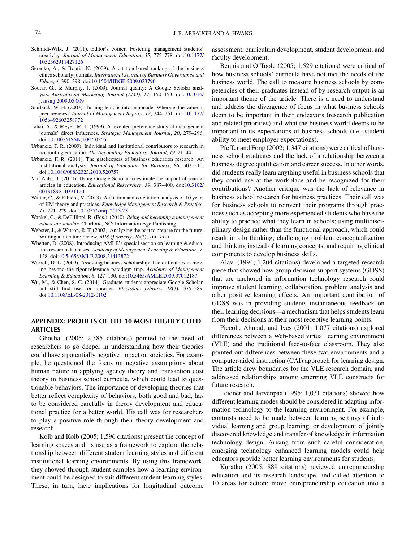- <span id="page-21-12"></span>Schmidt-Wilk, J. (2011). Editor's corner: Fostering management students' creativity. *Journal [of](http://dx.doi.org/10.1177/\gdef yes{no}\penalty \z@ \gdef \ {\penalty \z@ }\gdef no{no}\gdef yes{yes}\gdef \ \gdef \ {\ }\gdef no{no}\gdef yes{yes}{\penalty \z@ \gdef \ {\penalty \z@ }\gdef no{no}\gdef yes{yes}}1052562911427126) [Management](http://dx.doi.org/10.1177/\gdef yes{no}\penalty \z@ \gdef \ {\penalty \z@ }\gdef no{no}\gdef yes{yes}\gdef \ \gdef \ {\ }\gdef no{no}\gdef yes{yes}{\penalty \z@ \gdef \ {\penalty \z@ }\gdef no{no}\gdef yes{yes}}1052562911427126) [Education](http://dx.doi.org/10.1177/\gdef yes{no}\penalty \z@ \gdef \ {\penalty \z@ }\gdef no{no}\gdef yes{yes}\gdef \ \gdef \ {\ }\gdef no{no}\gdef yes{yes}{\penalty \z@ \gdef \ {\penalty \z@ }\gdef no{no}\gdef yes{yes}}1052562911427126)*, *35*, 775–778. doi:[10.1177/](http://dx.doi.org/10.1177/1052562911427126) [1052562911427126](http://dx.doi.org/10.1177/1052562911427126)
- <span id="page-21-6"></span>Serenko, A., & Bontis, N. (2009). A citation-based ranking of the business ethics scholarly journals. *International Journal of Business Governance and Ethics*, *4*, 390–398. doi[:10.1504/IJBGE.2009.023790](http://dx.doi.org/10.1504/\gdef yes{no}\penalty \z@ \gdef \ {\penalty \z@ }\gdef no{no}\gdef yes{yes}\gdef \ \gdef \ {\ }\gdef no{no}\gdef yes{yes}{\penalty \z@ \gdef \ {\penalty \z@ }\gdef no{no}\gdef yes{yes}}IJBGE.2009.023790)
- <span id="page-21-8"></span>Soutar, G., & Murphy, J. (2009). Journal quality: A Google Scholar analysis. *Australasian Marketing Journal (AMJ)*, *17*, 150–153. doi:[10.1016/](http://dx.doi.org/10.1016/j.ausmj.2009.05.009) [j.ausmj.2009.05.009](http://dx.doi.org/10.1016/j.ausmj.2009.05.009)
- <span id="page-21-1"></span>Starbuck, W. H. (2003). Turning lemons into lemonade: Where is the value in peer reviews? *Jour[nal of Management Inquiry](http://dx.doi.org/10.1177/\gdef yes{no}\penalty \z@ \gdef \ {\penalty \z@ }\gdef no{no}\gdef yes{yes}\gdef \ \gdef \ {\ }\gdef no{no}\gdef yes{yes}{\penalty \z@ \gdef \ {\penalty \z@ }\gdef no{no}\gdef yes{yes}}1056492603258972)*, *12*, 344–351. doi:[10.1177/](http://dx.doi.org/10.1177/1056492603258972) [1056492603258972](http://dx.doi.org/10.1177/1056492603258972)
- <span id="page-21-2"></span>Tahai, A., & Meyer, M. J. (1999). A revealed preference study of management journals' direct influences. *Strategic Management Journal*, *20*, 279–296. doi[:10.1002/\(ISSN\)1097-0266](http://dx.doi.org/10.1002/\gdef yes{no}\penalty \z@ \gdef \ {\penalty \z@ }\gdef no{no}\gdef yes{yes}\gdef \ \gdef \ {\ }\gdef no{no}\gdef yes{yes}{\penalty \z@ \gdef \ {\penalty \z@ }\gdef no{no}\gdef yes{yes}}(ISSN)1097-0266)
- <span id="page-21-11"></span>Urbancic, F. R. (2009). Individual and institutional contributors to research in accounting education. *The Accounting Educators' Journal*, *19*, 21–44.
- <span id="page-21-5"></span>Urbancic, F. R. (2011). The gatekeepers of business education research: An institutional analysis. *Journal of Education for Business*, *86*, 302–310. doi[:1](http://dx.doi.org/10.1080/\gdef yes{no}\penalty \z@ \gdef \ {\penalty \z@ }\gdef no{no}\gdef yes{yes}\gdef \ \gdef \ {\ }\gdef no{no}\gdef yes{yes}{\penalty \z@ \gdef \ {\penalty \z@ }\gdef no{no}\gdef yes{yes}}08832323.2010.520757)[0.1080/08832323.2010.520757](http://dx.doi.org/10.1080/08832323.2010.520757)
- <span id="page-21-7"></span>Van Aalst, J. (2010). Using Google Scholar to estimate the impact of journal articles in education. *[Educational Researcher](http://dx.doi.org/10.3102/\gdef yes{no}\penalty \z@ \gdef \ {\penalty \z@ }\gdef no{no}\gdef yes{yes}\gdef \ \gdef \ {\ }\gdef no{no}\gdef yes{yes}{\penalty \z@ \gdef \ {\penalty \z@ }\gdef no{no}\gdef yes{yes}}0013189X10371120)*, *39*, 387–400. doi:[10.3102/](http://dx.doi.org/10.3102/0013189X10371120) [0013189X10371120](http://dx.doi.org/10.3102/0013189X10371120)
- <span id="page-21-10"></span>Walter, C., & Ribière, V. (2013). A citation and co-citation analysis of 10 years of KM theory and practices. *Knowledge Management Research & Practice*, *11*, 221–229. doi[:10.1057/kmrp.2013.25](http://dx.doi.org/10.1057/\gdef yes{no}\penalty \z@ \gdef \ {\penalty \z@ }\gdef no{no}\gdef yes{yes}\gdef \ \gdef \ {\ }\gdef no{no}\gdef yes{yes}{\penalty \z@ \gdef \ {\penalty \z@ }\gdef no{no}\gdef yes{yes}}kmrp.2013.25)
- <span id="page-21-13"></span>Wankel, C., & DeFillippi, R. (Eds.). (2010). *Being and becoming a management education scholar*. Charlotte, NC: Information Age Publishing.
- <span id="page-21-4"></span>Webster, J., & Watson, R. T. (2002). Analyzing the past to prepare for the future: Writing a literature review. *MIS Quarterly*, *26*(2), xiii–xxiii.
- <span id="page-21-0"></span>Whetten, D. (2008). Introducing AMLE's special section on learning & education research databases. *Academy of Management Learning & Education*, *7*, 138. doi[:1](http://dx.doi.org/10.5465/\gdef yes{no}\penalty \z@ \gdef \ {\penalty \z@ }\gdef no{no}\gdef yes{yes}\gdef \ \gdef \ {\ }\gdef no{no}\gdef yes{yes}{\penalty \z@ \gdef \ {\penalty \z@ }\gdef no{no}\gdef yes{yes}}AMLE.2008.31413872)[0.5465/AMLE.2008.31413872](http://dx.doi.org/10.5465/AMLE.2008.31413872)
- <span id="page-21-3"></span>Worrell, D. L. (2009). Assessing business scholarship: The difficulties in moving beyond the rigor-relevance paradigm trap. *Academy of Management Learning & Education*, *8*, 127–130. doi[:10.5465/AMLE.2009.37012187](http://dx.doi.org/10.5465/\gdef yes{no}\penalty \z@ \gdef \ {\penalty \z@ }\gdef no{no}\gdef yes{yes}\gdef \ \gdef \ {\ }\gdef no{no}\gdef yes{yes}{\penalty \z@ \gdef \ {\penalty \z@ }\gdef no{no}\gdef yes{yes}}AMLE.2009.37012187)
- <span id="page-21-9"></span>Wu, M., & Chen, S.-C. (2014). Graduate students appreciate Google Scholar, but still find use for libraries. *Electronic Library*, *32*(3), 375–389. doi[:1](http://dx.doi.org/10.1108/\gdef yes{no}\penalty \z@ \gdef \ {\penalty \z@ }\gdef no{no}\gdef yes{yes}\gdef \ \gdef \ {\ }\gdef no{no}\gdef yes{yes}{\penalty \z@ \gdef \ {\penalty \z@ }\gdef no{no}\gdef yes{yes}}EL-08-2012-0102)[0.1108/EL-08-2012-0102](http://dx.doi.org/10.1108/EL-08-2012-0102)

# **APPENDIX: PROFILES OF THE 10 MOST HIGHLY CITED ARTICLES**

Ghoshal (2005; 2,385 citations) pointed to the need of researchers to go deeper in understanding how their theories could have a potentially negative impact on societies. For example, he questioned the focus on negative assumptions about human nature in applying agency theory and transaction cost theory in business school curricula, which could lead to questionable behaviors. The importance of developing theories that better reflect complexity of behaviors, both good and bad, has to be considered carefully in theory development and educational practice for a better world. His call was for researchers to play a positive role through their theory development and research.

Kolb and Kolb (2005; 1,596 citations) present the concept of learning spaces and its use as a framework to explore the relationship between different student learning styles and different institutional learning environments. By using this framework, they showed through student samples how a learning environment could be designed to suit different student learning styles. These, in turn, have implications for longitudinal outcome

assessment, curriculum development, student development, and faculty development.

Bennis and O'Toole (2005; 1,529 citations) were critical of how business schools' curricula have not met the needs of the business world. The call to measure business schools by competencies of their graduates instead of by research output is an important theme of the article. There is a need to understand and address the divergence of focus in what business schools deem to be important in their endeavors (research publication and related priorities) and what the business world deems to be important in its expectations of business schools (i.e., student ability to meet employer expectations).

Pfeffer and Fong (2002; 1,347 citations) were critical of business school graduates and the lack of a relationship between a business degree qualification and career success. In other words, did students really learn anything useful in business schools that they could use at the workplace and be recognized for their contributions? Another critique was the lack of relevance in business school research for business practices. Their call was for business schools to reinvent their programs through practices such as accepting more experienced students who have the ability to practice what they learn in schools; using multidisciplinary design rather than the functional approach, which could result in silo thinking; challenging problem conceptualization and thinking instead of learning concepts; and requiring clinical components to develop business skills.

Alavi (1994; 1,204 citations) developed a targeted research piece that showed how group decision support systems (GDSS) that are anchored in information technology research could improve student learning, collaboration, problem analysis and other positive learning effects. An important contribution of GDSS was in providing students instantaneous feedback on their learning decisions—a mechanism that helps students learn from their decisions at their most receptive learning points.

Piccoli, Ahmad, and Ives (2001; 1,077 citations) explored differences between a Web-based virtual learning environment (VLE) and the traditional face-to-face classroom. They also pointed out differences between these two environments and a computer-aided instruction (CAI) approach for learning design. The article drew boundaries for the VLE research domain, and addressed relationships among emerging VLE constructs for future research.

Leidner and Jarvenpaa (1995; 1,031 citations) showed how different learning modes should be considered in adapting information technology to the learning environment. For example, contrasts need to be made between learning settings of individual learning and group learning, or development of jointly discovered knowledge and transfer of knowledge in information technology design. Arising from such careful consideration, emerging technology enhanced learning models could help educators provide better learning environments for students.

Kuratko (2005; 889 citations) reviewed entrepreneurship education and its research landscape, and called attention to 10 areas for action: move entrepreneurship education into a